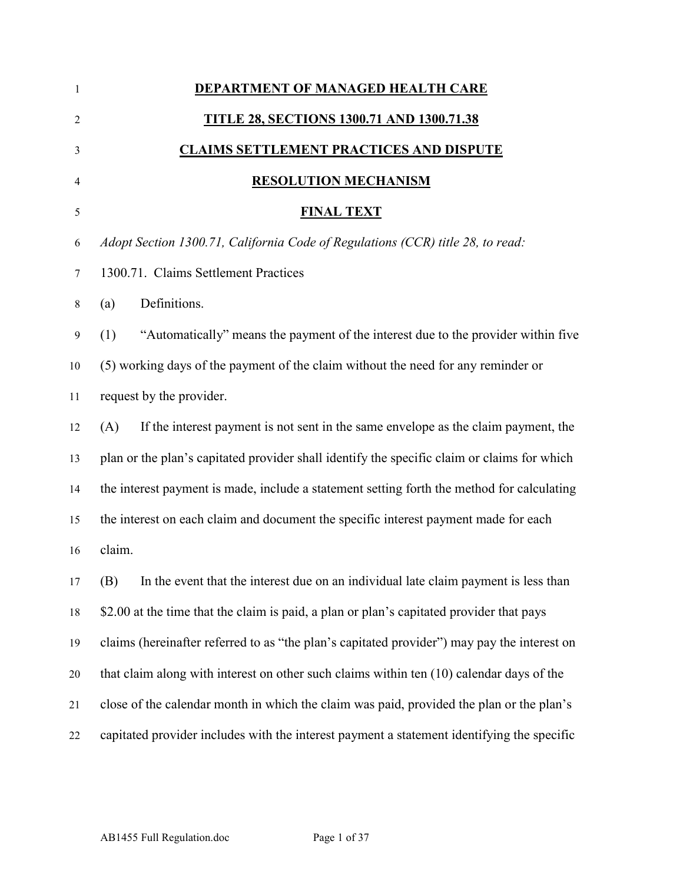| $\mathbf{1}$   | DEPARTMENT OF MANAGED HEALTH CARE                                                           |
|----------------|---------------------------------------------------------------------------------------------|
| $\overline{2}$ | <b>TITLE 28, SECTIONS 1300.71 AND 1300.71.38</b>                                            |
| 3              | <u>CLAIMS SETTLEMENT PRACTICES AND DISPUTE</u>                                              |
| 4              | <b>RESOLUTION MECHANISM</b>                                                                 |
| 5              | <b>FINAL TEXT</b>                                                                           |
| 6              | Adopt Section 1300.71, California Code of Regulations (CCR) title 28, to read:              |
| $\tau$         | 1300.71. Claims Settlement Practices                                                        |
| $8\,$          | Definitions.<br>(a)                                                                         |
| 9              | "Automatically" means the payment of the interest due to the provider within five<br>(1)    |
| 10             | (5) working days of the payment of the claim without the need for any reminder or           |
| 11             | request by the provider.                                                                    |
| 12             | If the interest payment is not sent in the same envelope as the claim payment, the<br>(A)   |
| 13             | plan or the plan's capitated provider shall identify the specific claim or claims for which |
| 14             | the interest payment is made, include a statement setting forth the method for calculating  |
| 15             | the interest on each claim and document the specific interest payment made for each         |
| 16             | claim.                                                                                      |
| 17             | In the event that the interest due on an individual late claim payment is less than<br>(B)  |
| 18             | \$2.00 at the time that the claim is paid, a plan or plan's capitated provider that pays    |
| 19             | claims (hereinafter referred to as "the plan's capitated provider") may pay the interest on |
| 20             | that claim along with interest on other such claims within ten (10) calendar days of the    |
| 21             | close of the calendar month in which the claim was paid, provided the plan or the plan's    |
| 22             | capitated provider includes with the interest payment a statement identifying the specific  |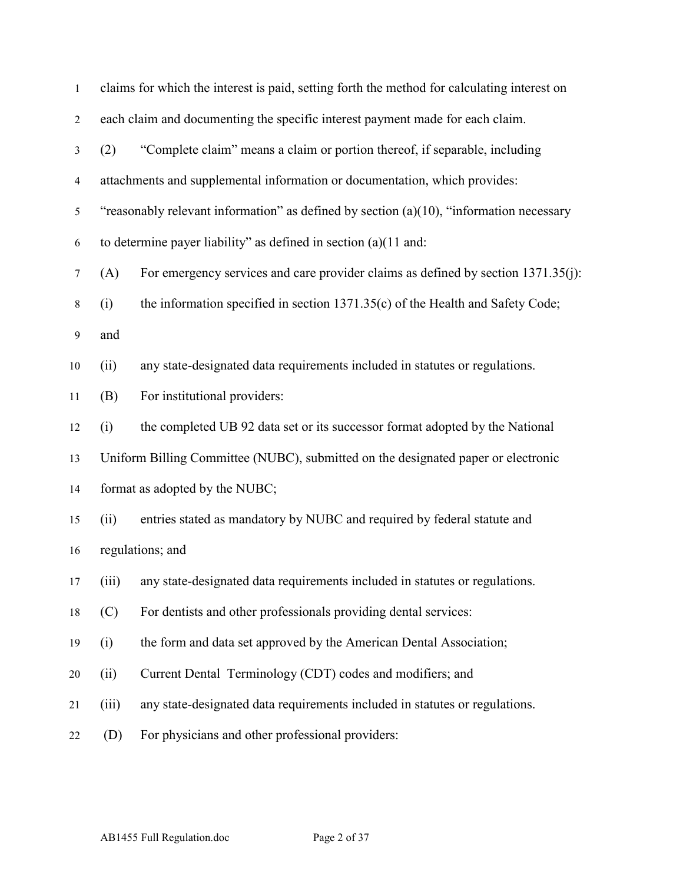| $\mathbf{1}$     |       | claims for which the interest is paid, setting forth the method for calculating interest on |
|------------------|-------|---------------------------------------------------------------------------------------------|
| $\overline{2}$   |       | each claim and documenting the specific interest payment made for each claim.               |
| $\mathfrak{Z}$   | (2)   | "Complete claim" means a claim or portion thereof, if separable, including                  |
| $\overline{4}$   |       | attachments and supplemental information or documentation, which provides:                  |
| $\sqrt{5}$       |       | "reasonably relevant information" as defined by section $(a)(10)$ , "information necessary  |
| 6                |       | to determine payer liability" as defined in section $(a)(11$ and:                           |
| $\tau$           | (A)   | For emergency services and care provider claims as defined by section 1371.35(j):           |
| $\,8\,$          | (i)   | the information specified in section 1371.35(c) of the Health and Safety Code;              |
| $\boldsymbol{9}$ | and   |                                                                                             |
| 10               | (ii)  | any state-designated data requirements included in statutes or regulations.                 |
| 11               | (B)   | For institutional providers:                                                                |
| 12               | (i)   | the completed UB 92 data set or its successor format adopted by the National                |
| 13               |       | Uniform Billing Committee (NUBC), submitted on the designated paper or electronic           |
| 14               |       | format as adopted by the NUBC;                                                              |
| 15               | (ii)  | entries stated as mandatory by NUBC and required by federal statute and                     |
| 16               |       | regulations; and                                                                            |
| 17               |       | (iii) any state-designated data requirements included in statutes or regulations.           |
| 18               | (C)   | For dentists and other professionals providing dental services:                             |
| 19               | (i)   | the form and data set approved by the American Dental Association;                          |
| 20               | (ii)  | Current Dental Terminology (CDT) codes and modifiers; and                                   |
| 21               | (iii) | any state-designated data requirements included in statutes or regulations.                 |
| 22               | (D)   | For physicians and other professional providers:                                            |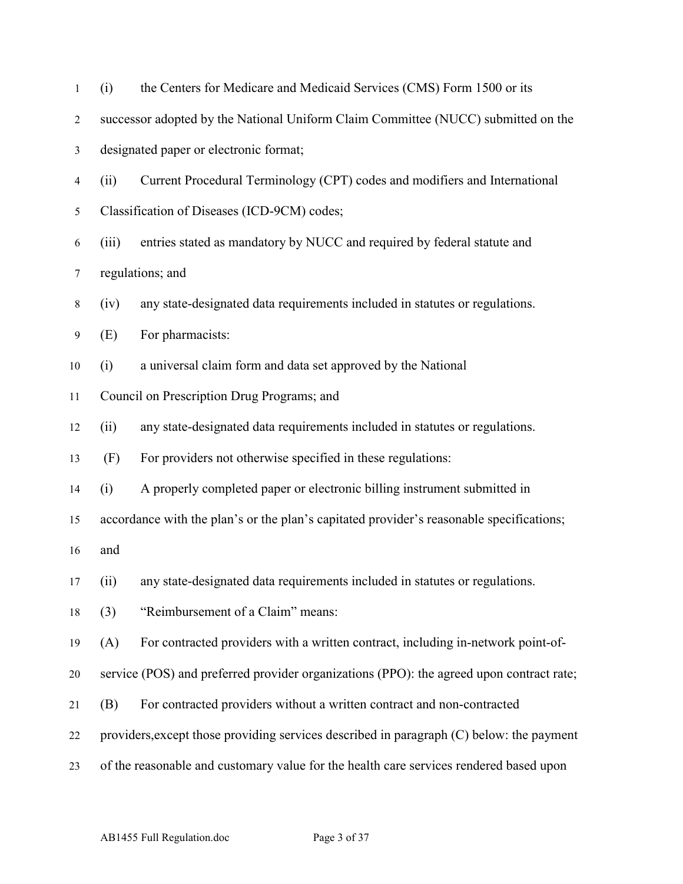| $\mathbf{1}$   | (i)   | the Centers for Medicare and Medicaid Services (CMS) Form 1500 or its                    |
|----------------|-------|------------------------------------------------------------------------------------------|
| $\overline{c}$ |       | successor adopted by the National Uniform Claim Committee (NUCC) submitted on the        |
| 3              |       | designated paper or electronic format;                                                   |
| 4              | (ii)  | Current Procedural Terminology (CPT) codes and modifiers and International               |
| 5              |       | Classification of Diseases (ICD-9CM) codes;                                              |
| 6              | (iii) | entries stated as mandatory by NUCC and required by federal statute and                  |
| 7              |       | regulations; and                                                                         |
| $8\,$          | (iv)  | any state-designated data requirements included in statutes or regulations.              |
| 9              | (E)   | For pharmacists:                                                                         |
| 10             | (i)   | a universal claim form and data set approved by the National                             |
| 11             |       | Council on Prescription Drug Programs; and                                               |
| 12             | (ii)  | any state-designated data requirements included in statutes or regulations.              |
| 13             | (F)   | For providers not otherwise specified in these regulations:                              |
| 14             | (i)   | A properly completed paper or electronic billing instrument submitted in                 |
| 15             |       | accordance with the plan's or the plan's capitated provider's reasonable specifications; |
| 16             | and   |                                                                                          |
| 17             | (ii)  | any state-designated data requirements included in statutes or regulations.              |
| 18             | (3)   | "Reimbursement of a Claim" means:                                                        |
| 19             | (A)   | For contracted providers with a written contract, including in-network point-of-         |
| $20\,$         |       | service (POS) and preferred provider organizations (PPO): the agreed upon contract rate; |
| 21             | (B)   | For contracted providers without a written contract and non-contracted                   |
| 22             |       | providers, except those providing services described in paragraph (C) below: the payment |
| 23             |       | of the reasonable and customary value for the health care services rendered based upon   |
|                |       |                                                                                          |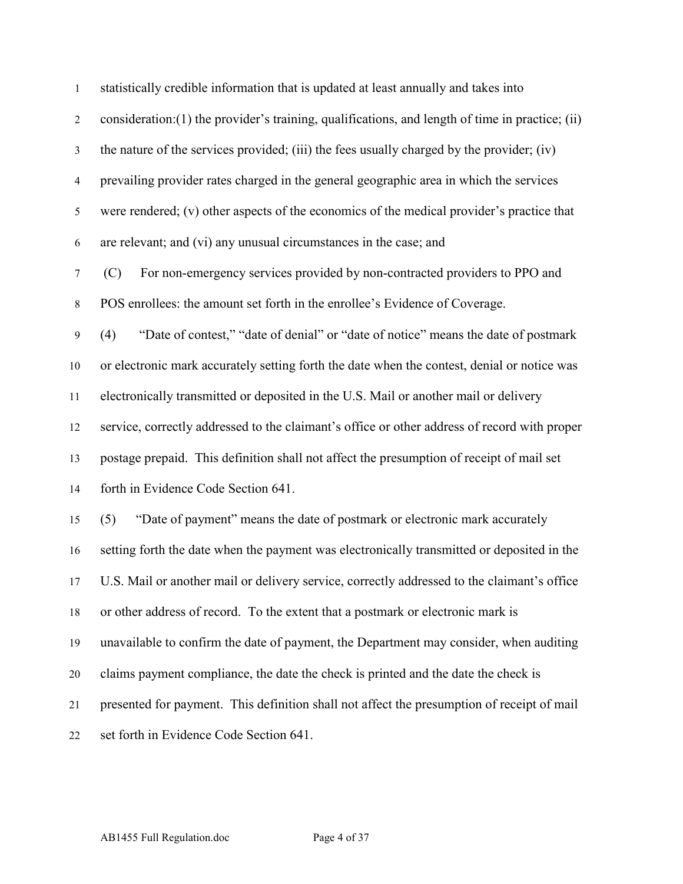| $\mathbf{1}$     | statistically credible information that is updated at least annually and takes into              |
|------------------|--------------------------------------------------------------------------------------------------|
| $\overline{2}$   | consideration: (1) the provider's training, qualifications, and length of time in practice; (ii) |
| $\mathfrak{Z}$   | the nature of the services provided; (iii) the fees usually charged by the provider; (iv)        |
| $\overline{4}$   | prevailing provider rates charged in the general geographic area in which the services           |
| $\mathfrak s$    | were rendered; (v) other aspects of the economics of the medical provider's practice that        |
| 6                | are relevant; and (vi) any unusual circumstances in the case; and                                |
| $\boldsymbol{7}$ | For non-emergency services provided by non-contracted providers to PPO and<br>(C)                |
| $\,8\,$          | POS enrollees: the amount set forth in the enrollee's Evidence of Coverage.                      |
| $\boldsymbol{9}$ | "Date of contest," "date of denial" or "date of notice" means the date of postmark<br>(4)        |
| 10               | or electronic mark accurately setting forth the date when the contest, denial or notice was      |
| 11               | electronically transmitted or deposited in the U.S. Mail or another mail or delivery             |
| 12               | service, correctly addressed to the claimant's office or other address of record with proper     |
| 13               | postage prepaid. This definition shall not affect the presumption of receipt of mail set         |
| 14               | forth in Evidence Code Section 641.                                                              |
| 15               | "Date of payment" means the date of postmark or electronic mark accurately<br>(5)                |
| 16               | setting forth the date when the payment was electronically transmitted or deposited in the       |
| 17               | U.S. Mail or another mail or delivery service, correctly addressed to the claimant's office      |
| 18               | or other address of record. To the extent that a postmark or electronic mark is                  |
| 19               | unavailable to confirm the date of payment, the Department may consider, when auditing           |
| 20               | claims payment compliance, the date the check is printed and the date the check is               |
| 21               | presented for payment. This definition shall not affect the presumption of receipt of mail       |
| 22               | set forth in Evidence Code Section 641.                                                          |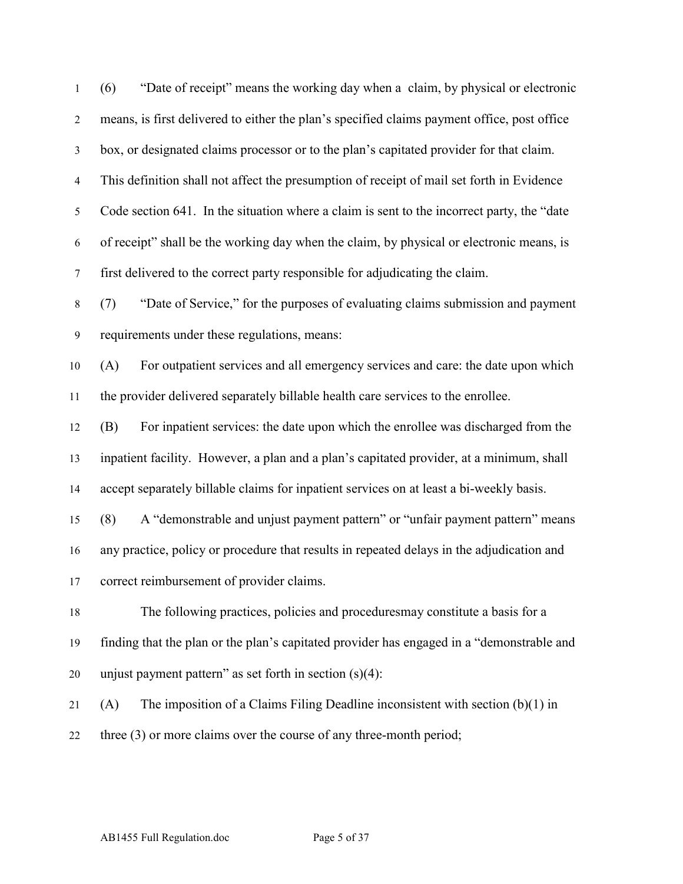| 1              | (6)<br>"Date of receipt" means the working day when a claim, by physical or electronic      |
|----------------|---------------------------------------------------------------------------------------------|
| $\overline{2}$ | means, is first delivered to either the plan's specified claims payment office, post office |
| $\mathfrak{Z}$ | box, or designated claims processor or to the plan's capitated provider for that claim.     |
| $\overline{4}$ | This definition shall not affect the presumption of receipt of mail set forth in Evidence   |
| 5              | Code section 641. In the situation where a claim is sent to the incorrect party, the "date" |
| 6              | of receipt" shall be the working day when the claim, by physical or electronic means, is    |
| $\tau$         | first delivered to the correct party responsible for adjudicating the claim.                |
| $\,8\,$        | "Date of Service," for the purposes of evaluating claims submission and payment<br>(7)      |
| 9              | requirements under these regulations, means:                                                |
| 10             | For outpatient services and all emergency services and care: the date upon which<br>(A)     |
| 11             | the provider delivered separately billable health care services to the enrollee.            |
| 12             | For inpatient services: the date upon which the enrollee was discharged from the<br>(B)     |
| 13             | inpatient facility. However, a plan and a plan's capitated provider, at a minimum, shall    |
| 14             | accept separately billable claims for inpatient services on at least a bi-weekly basis.     |
| 15             | A "demonstrable and unjust payment pattern" or "unfair payment pattern" means<br>(8)        |
| 16             | any practice, policy or procedure that results in repeated delays in the adjudication and   |
| 17             | correct reimbursement of provider claims.                                                   |
| 18             | The following practices, policies and procedures may constitute a basis for a               |
| 19             | finding that the plan or the plan's capitated provider has engaged in a "demonstrable and   |
| 20             | unjust payment pattern" as set forth in section $(s)(4)$ :                                  |
| 21             | The imposition of a Claims Filing Deadline inconsistent with section $(b)(1)$ in<br>(A)     |
| 22             | three $(3)$ or more claims over the course of any three-month period;                       |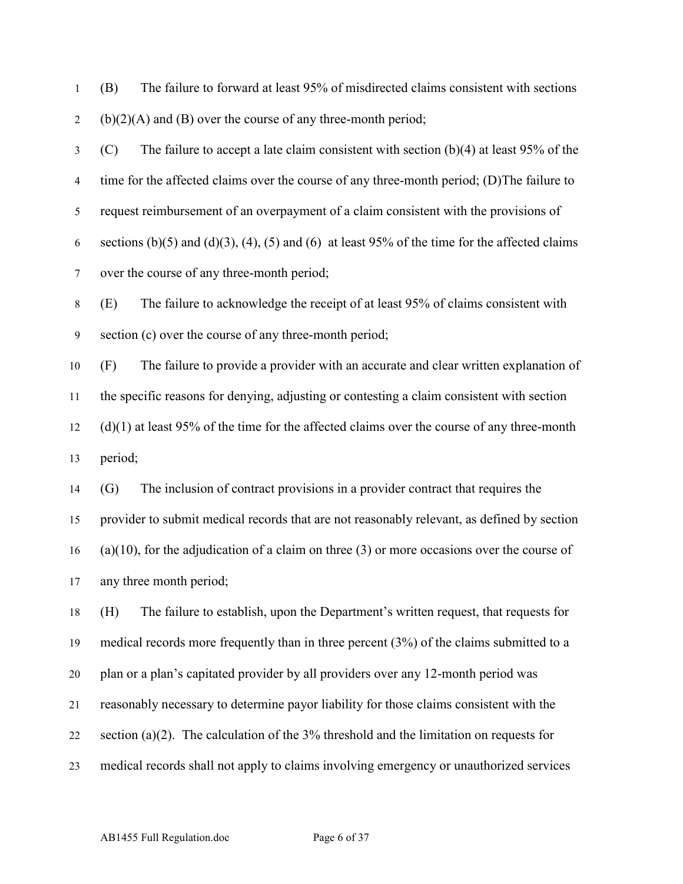(B) The failure to forward at least 95% of misdirected claims consistent with sections 2 (b)(2)(A) and (B) over the course of any three-month period;

 (C) The failure to accept a late claim consistent with section (b)(4) at least 95% of the time for the affected claims over the course of any three-month period; (D)The failure to request reimbursement of an overpayment of a claim consistent with the provisions of 6 sections (b)(5) and (d)(3), (4), (5) and (6) at least 95% of the time for the affected claims over the course of any three-month period;

 (E) The failure to acknowledge the receipt of at least 95% of claims consistent with section (c) over the course of any three-month period;

 (F) The failure to provide a provider with an accurate and clear written explanation of the specific reasons for denying, adjusting or contesting a claim consistent with section (d)(1) at least 95% of the time for the affected claims over the course of any three-month period;

 (G) The inclusion of contract provisions in a provider contract that requires the provider to submit medical records that are not reasonably relevant, as defined by section (a)(10), for the adjudication of a claim on three (3) or more occasions over the course of any three month period;

 (H) The failure to establish, upon the Department's written request, that requests for medical records more frequently than in three percent (3%) of the claims submitted to a plan or a plan's capitated provider by all providers over any 12-month period was reasonably necessary to determine payor liability for those claims consistent with the 22 section (a)(2). The calculation of the  $3\%$  threshold and the limitation on requests for medical records shall not apply to claims involving emergency or unauthorized services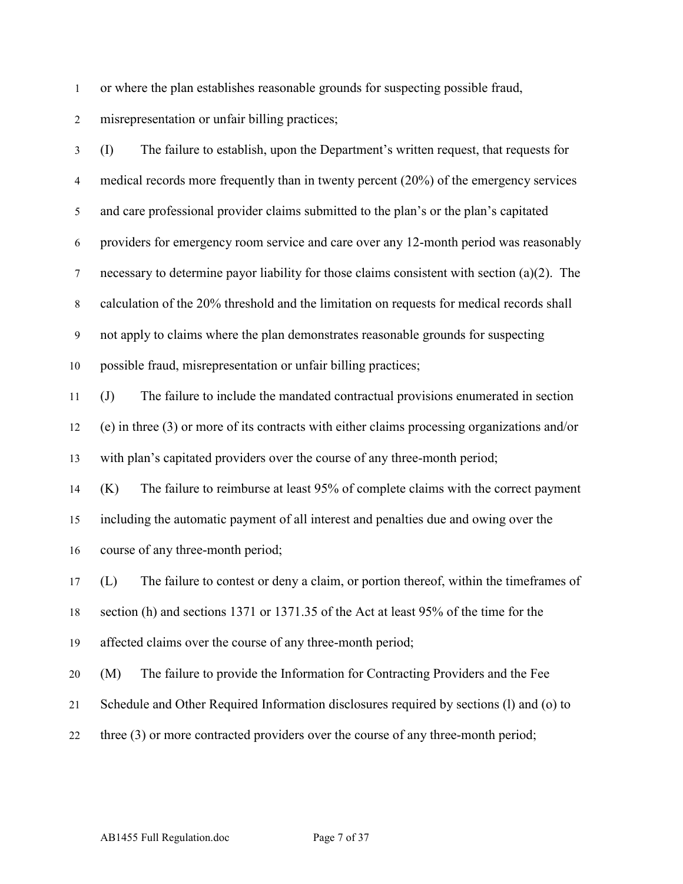or where the plan establishes reasonable grounds for suspecting possible fraud,

misrepresentation or unfair billing practices;

 (I) The failure to establish, upon the Department's written request, that requests for 4 medical records more frequently than in twenty percent (20%) of the emergency services and care professional provider claims submitted to the plan's or the plan's capitated providers for emergency room service and care over any 12-month period was reasonably necessary to determine payor liability for those claims consistent with section (a)(2). The calculation of the 20% threshold and the limitation on requests for medical records shall not apply to claims where the plan demonstrates reasonable grounds for suspecting possible fraud, misrepresentation or unfair billing practices; (J) The failure to include the mandated contractual provisions enumerated in section (e) in three (3) or more of its contracts with either claims processing organizations and/or with plan's capitated providers over the course of any three-month period; (K) The failure to reimburse at least 95% of complete claims with the correct payment including the automatic payment of all interest and penalties due and owing over the course of any three-month period; (L) The failure to contest or deny a claim, or portion thereof, within the timeframes of section (h) and sections 1371 or 1371.35 of the Act at least 95% of the time for the affected claims over the course of any three-month period; (M) The failure to provide the Information for Contracting Providers and the Fee

- Schedule and Other Required Information disclosures required by sections (l) and (o) to
- three (3) or more contracted providers over the course of any three-month period;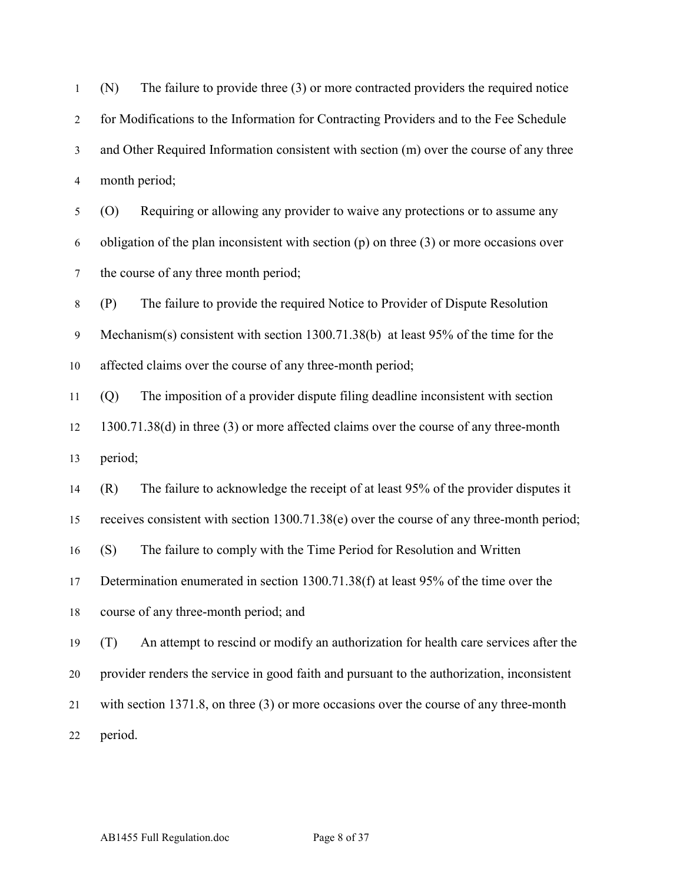(N) The failure to provide three (3) or more contracted providers the required notice for Modifications to the Information for Contracting Providers and to the Fee Schedule and Other Required Information consistent with section (m) over the course of any three month period; (O) Requiring or allowing any provider to waive any protections or to assume any

 obligation of the plan inconsistent with section (p) on three (3) or more occasions over the course of any three month period;

 (P) The failure to provide the required Notice to Provider of Dispute Resolution Mechanism(s) consistent with section 1300.71.38(b) at least 95% of the time for the affected claims over the course of any three-month period;

 (Q) The imposition of a provider dispute filing deadline inconsistent with section 1300.71.38(d) in three (3) or more affected claims over the course of any three-month period;

(R) The failure to acknowledge the receipt of at least 95% of the provider disputes it

receives consistent with section 1300.71.38(e) over the course of any three-month period;

(S) The failure to comply with the Time Period for Resolution and Written

Determination enumerated in section 1300.71.38(f) at least 95% of the time over the

course of any three-month period; and

 (T) An attempt to rescind or modify an authorization for health care services after the provider renders the service in good faith and pursuant to the authorization, inconsistent with section 1371.8, on three (3) or more occasions over the course of any three-month period.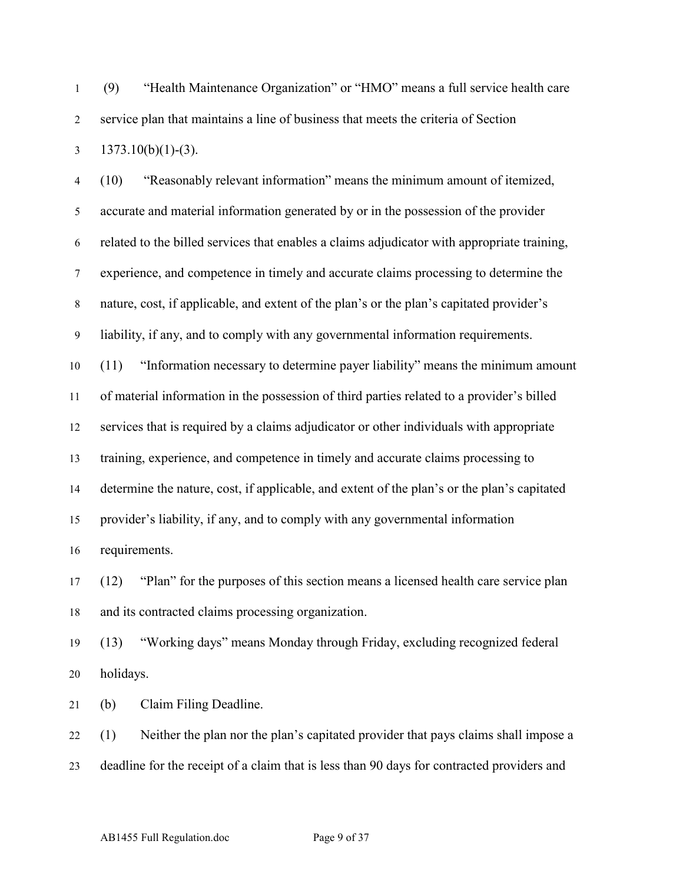1 (9) "Health Maintenance Organization" or "HMO" means a full service health care service plan that maintains a line of business that meets the criteria of Section  $3 \quad 1373.10(b)(1)-(3)$ .

 (10) "Reasonably relevant information" means the minimum amount of itemized, accurate and material information generated by or in the possession of the provider related to the billed services that enables a claims adjudicator with appropriate training, experience, and competence in timely and accurate claims processing to determine the nature, cost, if applicable, and extent of the plan's or the plan's capitated provider's liability, if any, and to comply with any governmental information requirements. (11) "Information necessary to determine payer liability" means the minimum amount of material information in the possession of third parties related to a provider's billed services that is required by a claims adjudicator or other individuals with appropriate training, experience, and competence in timely and accurate claims processing to determine the nature, cost, if applicable, and extent of the plan's or the plan's capitated provider's liability, if any, and to comply with any governmental information requirements.

 (12) "Plan" for the purposes of this section means a licensed health care service plan and its contracted claims processing organization.

 (13) "Working days" means Monday through Friday, excluding recognized federal holidays.

(b) Claim Filing Deadline.

 (1) Neither the plan nor the plan's capitated provider that pays claims shall impose a deadline for the receipt of a claim that is less than 90 days for contracted providers and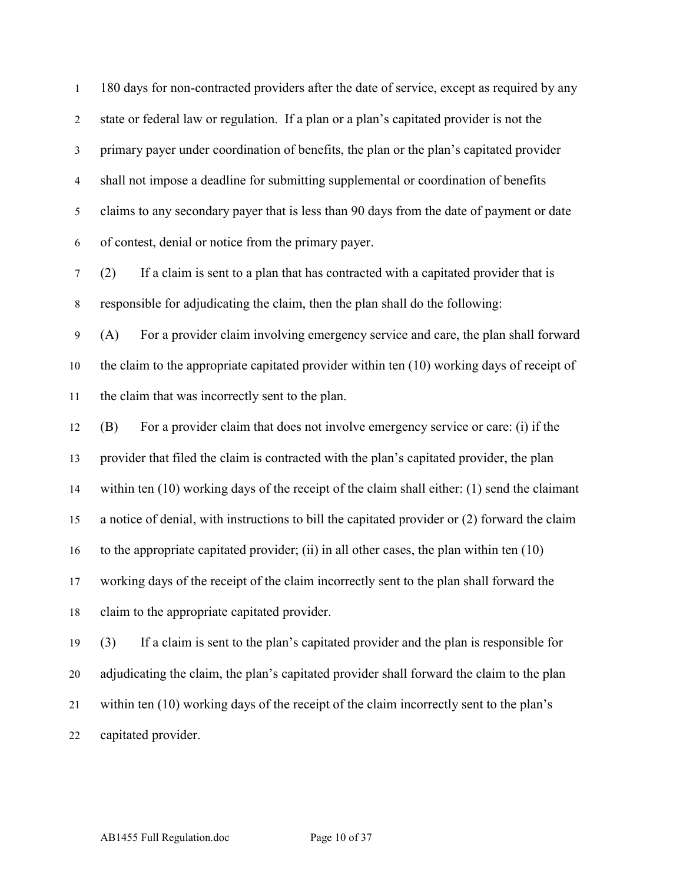180 days for non-contracted providers after the date of service, except as required by any state or federal law or regulation. If a plan or a plan's capitated provider is not the primary payer under coordination of benefits, the plan or the plan's capitated provider shall not impose a deadline for submitting supplemental or coordination of benefits claims to any secondary payer that is less than 90 days from the date of payment or date of contest, denial or notice from the primary payer.

 (2) If a claim is sent to a plan that has contracted with a capitated provider that is responsible for adjudicating the claim, then the plan shall do the following:

 (A) For a provider claim involving emergency service and care, the plan shall forward the claim to the appropriate capitated provider within ten (10) working days of receipt of the claim that was incorrectly sent to the plan.

 (B) For a provider claim that does not involve emergency service or care: (i) if the provider that filed the claim is contracted with the plan's capitated provider, the plan within ten (10) working days of the receipt of the claim shall either: (1) send the claimant a notice of denial, with instructions to bill the capitated provider or (2) forward the claim to the appropriate capitated provider; (ii) in all other cases, the plan within ten (10) working days of the receipt of the claim incorrectly sent to the plan shall forward the claim to the appropriate capitated provider.

 (3) If a claim is sent to the plan's capitated provider and the plan is responsible for adjudicating the claim, the plan's capitated provider shall forward the claim to the plan within ten (10) working days of the receipt of the claim incorrectly sent to the plan's capitated provider.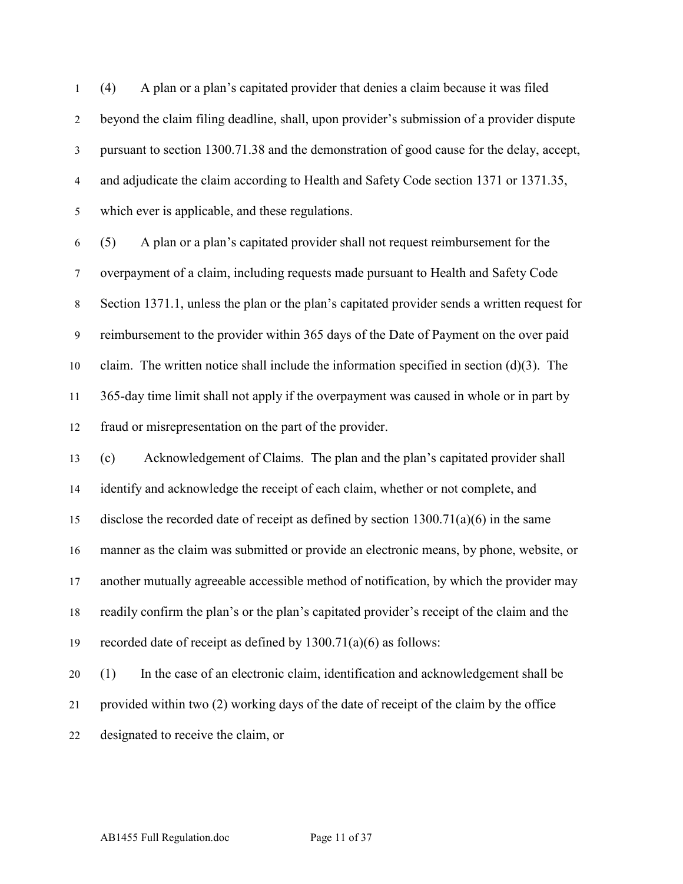(4) A plan or a plan's capitated provider that denies a claim because it was filed beyond the claim filing deadline, shall, upon provider's submission of a provider dispute pursuant to section 1300.71.38 and the demonstration of good cause for the delay, accept, and adjudicate the claim according to Health and Safety Code section 1371 or 1371.35, which ever is applicable, and these regulations.

 (5) A plan or a plan's capitated provider shall not request reimbursement for the overpayment of a claim, including requests made pursuant to Health and Safety Code Section 1371.1, unless the plan or the plan's capitated provider sends a written request for reimbursement to the provider within 365 days of the Date of Payment on the over paid 10 claim. The written notice shall include the information specified in section  $(d)(3)$ . The 365-day time limit shall not apply if the overpayment was caused in whole or in part by fraud or misrepresentation on the part of the provider.

 (c) Acknowledgement of Claims. The plan and the plan's capitated provider shall identify and acknowledge the receipt of each claim, whether or not complete, and disclose the recorded date of receipt as defined by section 1300.71(a)(6) in the same manner as the claim was submitted or provide an electronic means, by phone, website, or another mutually agreeable accessible method of notification, by which the provider may readily confirm the plan's or the plan's capitated provider's receipt of the claim and the recorded date of receipt as defined by 1300.71(a)(6) as follows:

 (1) In the case of an electronic claim, identification and acknowledgement shall be provided within two (2) working days of the date of receipt of the claim by the office designated to receive the claim, or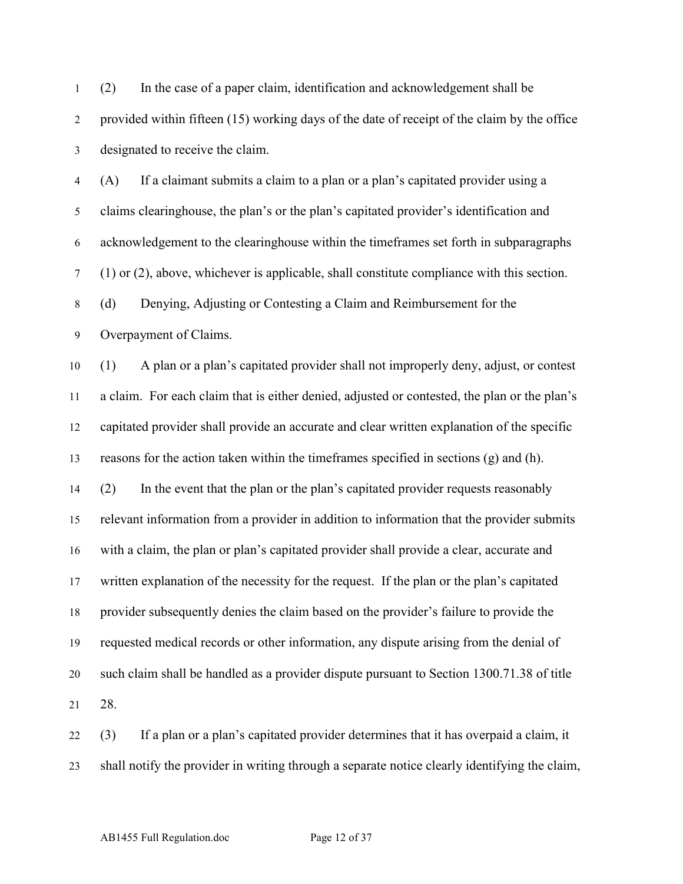(2) In the case of a paper claim, identification and acknowledgement shall be provided within fifteen (15) working days of the date of receipt of the claim by the office designated to receive the claim.

 (A) If a claimant submits a claim to a plan or a plan's capitated provider using a claims clearinghouse, the plan's or the plan's capitated provider's identification and acknowledgement to the clearinghouse within the timeframes set forth in subparagraphs (1) or (2), above, whichever is applicable, shall constitute compliance with this section. (d) Denying, Adjusting or Contesting a Claim and Reimbursement for the Overpayment of Claims.

 (1) A plan or a plan's capitated provider shall not improperly deny, adjust, or contest a claim. For each claim that is either denied, adjusted or contested, the plan or the plan's capitated provider shall provide an accurate and clear written explanation of the specific reasons for the action taken within the timeframes specified in sections (g) and (h). (2) In the event that the plan or the plan's capitated provider requests reasonably relevant information from a provider in addition to information that the provider submits with a claim, the plan or plan's capitated provider shall provide a clear, accurate and written explanation of the necessity for the request. If the plan or the plan's capitated provider subsequently denies the claim based on the provider's failure to provide the requested medical records or other information, any dispute arising from the denial of such claim shall be handled as a provider dispute pursuant to Section 1300.71.38 of title 28.

 (3) If a plan or a plan's capitated provider determines that it has overpaid a claim, it shall notify the provider in writing through a separate notice clearly identifying the claim,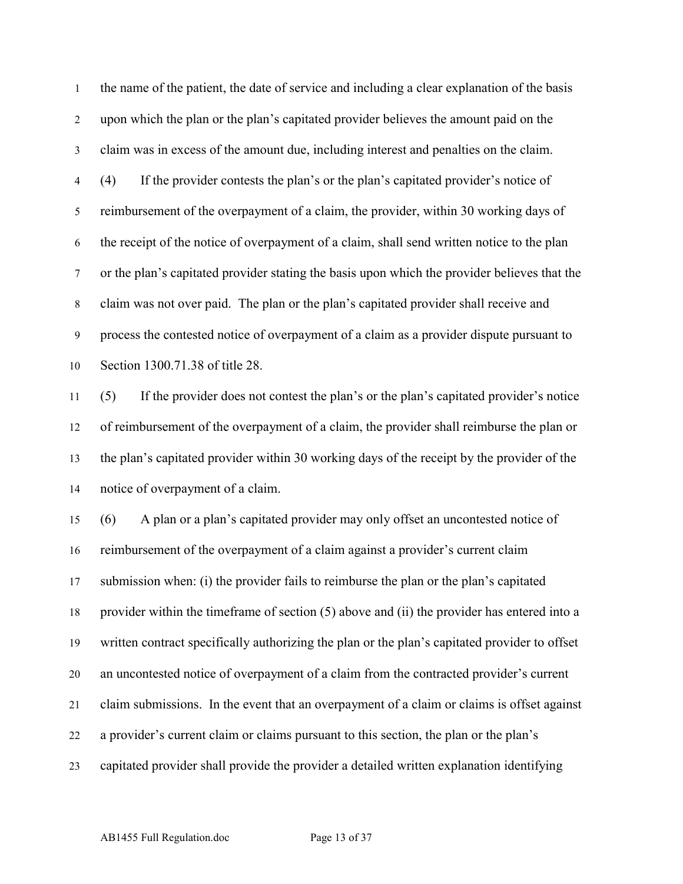the name of the patient, the date of service and including a clear explanation of the basis upon which the plan or the plan's capitated provider believes the amount paid on the claim was in excess of the amount due, including interest and penalties on the claim. (4) If the provider contests the plan's or the plan's capitated provider's notice of reimbursement of the overpayment of a claim, the provider, within 30 working days of the receipt of the notice of overpayment of a claim, shall send written notice to the plan or the plan's capitated provider stating the basis upon which the provider believes that the claim was not over paid. The plan or the plan's capitated provider shall receive and process the contested notice of overpayment of a claim as a provider dispute pursuant to Section 1300.71.38 of title 28.

 (5) If the provider does not contest the plan's or the plan's capitated provider's notice of reimbursement of the overpayment of a claim, the provider shall reimburse the plan or the plan's capitated provider within 30 working days of the receipt by the provider of the notice of overpayment of a claim.

 (6) A plan or a plan's capitated provider may only offset an uncontested notice of reimbursement of the overpayment of a claim against a provider's current claim submission when: (i) the provider fails to reimburse the plan or the plan's capitated provider within the timeframe of section (5) above and (ii) the provider has entered into a written contract specifically authorizing the plan or the plan's capitated provider to offset an uncontested notice of overpayment of a claim from the contracted provider's current claim submissions. In the event that an overpayment of a claim or claims is offset against a provider's current claim or claims pursuant to this section, the plan or the plan's capitated provider shall provide the provider a detailed written explanation identifying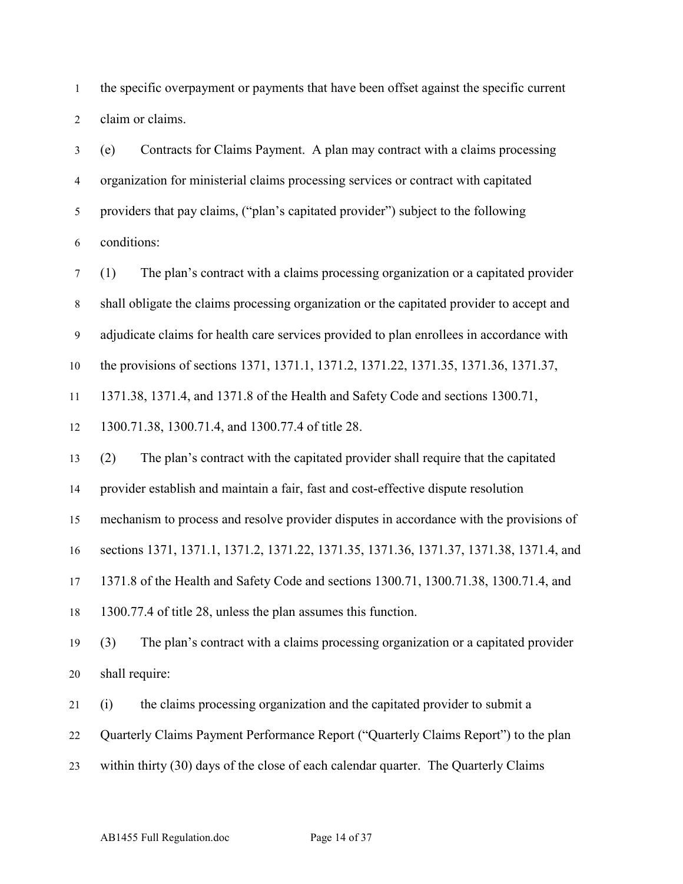the specific overpayment or payments that have been offset against the specific current claim or claims.

 (e) Contracts for Claims Payment. A plan may contract with a claims processing organization for ministerial claims processing services or contract with capitated providers that pay claims, ("plan's capitated provider") subject to the following conditions:

 (1) The plan's contract with a claims processing organization or a capitated provider shall obligate the claims processing organization or the capitated provider to accept and adjudicate claims for health care services provided to plan enrollees in accordance with the provisions of sections 1371, 1371.1, 1371.2, 1371.22, 1371.35, 1371.36, 1371.37, 1371.38, 1371.4, and 1371.8 of the Health and Safety Code and sections 1300.71, 1300.71.38, 1300.71.4, and 1300.77.4 of title 28. (2) The plan's contract with the capitated provider shall require that the capitated provider establish and maintain a fair, fast and cost-effective dispute resolution

mechanism to process and resolve provider disputes in accordance with the provisions of

sections 1371, 1371.1, 1371.2, 1371.22, 1371.35, 1371.36, 1371.37, 1371.38, 1371.4, and

1371.8 of the Health and Safety Code and sections 1300.71, 1300.71.38, 1300.71.4, and

1300.77.4 of title 28, unless the plan assumes this function.

 (3) The plan's contract with a claims processing organization or a capitated provider shall require:

(i) the claims processing organization and the capitated provider to submit a

Quarterly Claims Payment Performance Report ("Quarterly Claims Report") to the plan

within thirty (30) days of the close of each calendar quarter. The Quarterly Claims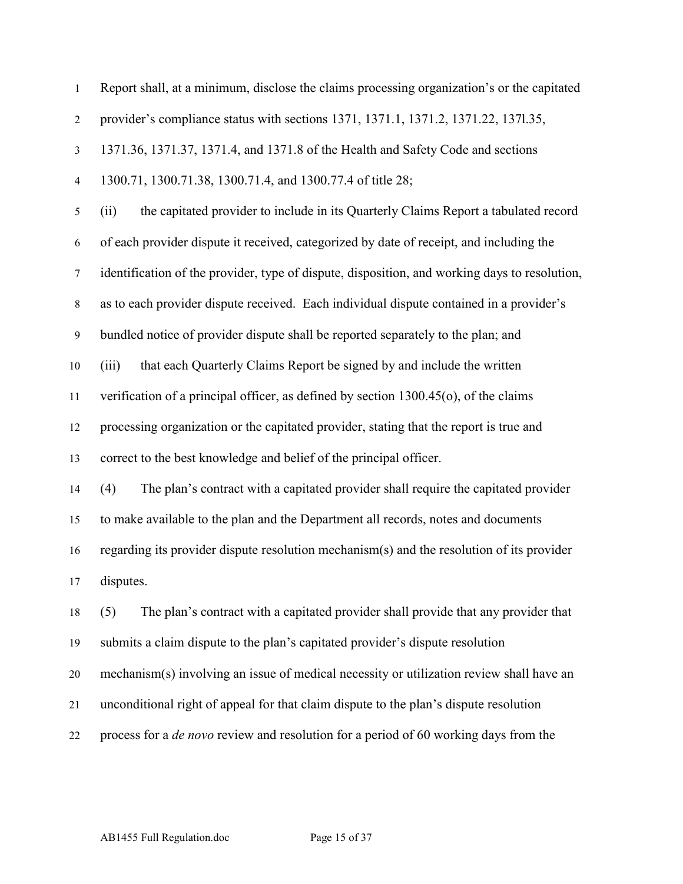| $\mathbf{1}$     | Report shall, at a minimum, disclose the claims processing organization's or the capitated    |
|------------------|-----------------------------------------------------------------------------------------------|
| $\overline{2}$   | provider's compliance status with sections 1371, 1371.1, 1371.2, 1371.22, 1371.35,            |
| $\mathfrak{Z}$   | 1371.36, 1371.37, 1371.4, and 1371.8 of the Health and Safety Code and sections               |
| $\overline{4}$   | 1300.71, 1300.71.38, 1300.71.4, and 1300.77.4 of title 28;                                    |
| 5                | the capitated provider to include in its Quarterly Claims Report a tabulated record<br>(ii)   |
| 6                | of each provider dispute it received, categorized by date of receipt, and including the       |
| $\tau$           | identification of the provider, type of dispute, disposition, and working days to resolution, |
| $\,8\,$          | as to each provider dispute received. Each individual dispute contained in a provider's       |
| $\boldsymbol{9}$ | bundled notice of provider dispute shall be reported separately to the plan; and              |
| 10               | that each Quarterly Claims Report be signed by and include the written<br>(iii)               |
| 11               | verification of a principal officer, as defined by section $1300.45$ (o), of the claims       |
| 12               | processing organization or the capitated provider, stating that the report is true and        |
| 13               | correct to the best knowledge and belief of the principal officer.                            |
| 14               | The plan's contract with a capitated provider shall require the capitated provider<br>(4)     |
| 15               | to make available to the plan and the Department all records, notes and documents             |
| 16               | regarding its provider dispute resolution mechanism(s) and the resolution of its provider     |
| 17               | disputes.                                                                                     |
| 18               | The plan's contract with a capitated provider shall provide that any provider that<br>(5)     |
| 19               | submits a claim dispute to the plan's capitated provider's dispute resolution                 |
| 20               | mechanism(s) involving an issue of medical necessity or utilization review shall have an      |
| 21               | unconditional right of appeal for that claim dispute to the plan's dispute resolution         |
| 22               | process for a <i>de novo</i> review and resolution for a period of 60 working days from the   |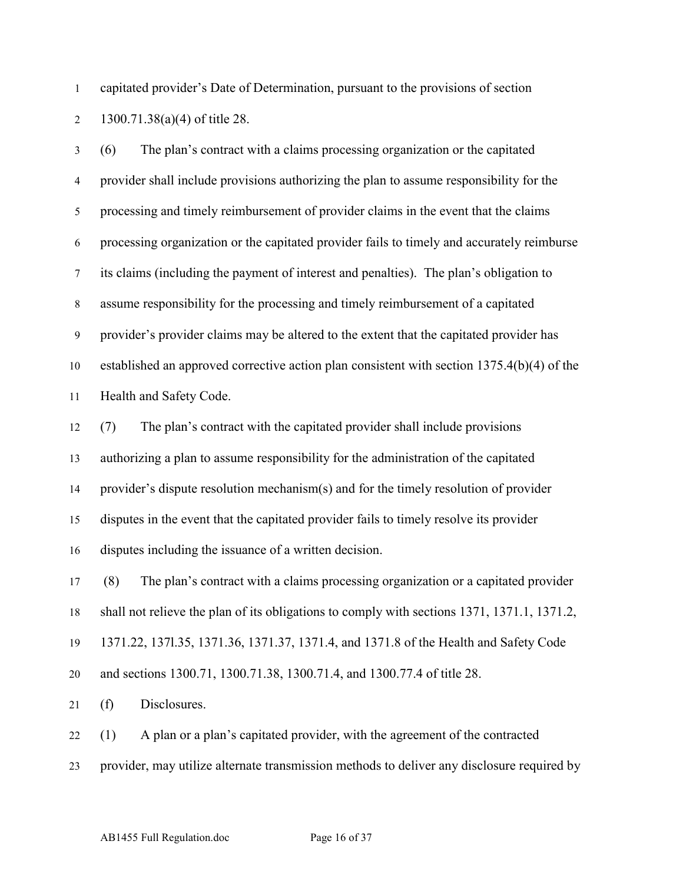capitated provider's Date of Determination, pursuant to the provisions of section 1300.71.38(a)(4) of title 28.

 (6) The plan's contract with a claims processing organization or the capitated provider shall include provisions authorizing the plan to assume responsibility for the processing and timely reimbursement of provider claims in the event that the claims processing organization or the capitated provider fails to timely and accurately reimburse its claims (including the payment of interest and penalties). The plan's obligation to assume responsibility for the processing and timely reimbursement of a capitated provider's provider claims may be altered to the extent that the capitated provider has established an approved corrective action plan consistent with section 1375.4(b)(4) of the Health and Safety Code.

 (7) The plan's contract with the capitated provider shall include provisions authorizing a plan to assume responsibility for the administration of the capitated provider's dispute resolution mechanism(s) and for the timely resolution of provider disputes in the event that the capitated provider fails to timely resolve its provider disputes including the issuance of a written decision.

17 (8) The plan's contract with a claims processing organization or a capitated provider shall not relieve the plan of its obligations to comply with sections 1371, 1371.1, 1371.2, 1371.22, 137l.35, 1371.36, 1371.37, 1371.4, and 1371.8 of the Health and Safety Code and sections 1300.71, 1300.71.38, 1300.71.4, and 1300.77.4 of title 28.

(f) Disclosures.

(1) A plan or a plan's capitated provider, with the agreement of the contracted

provider, may utilize alternate transmission methods to deliver any disclosure required by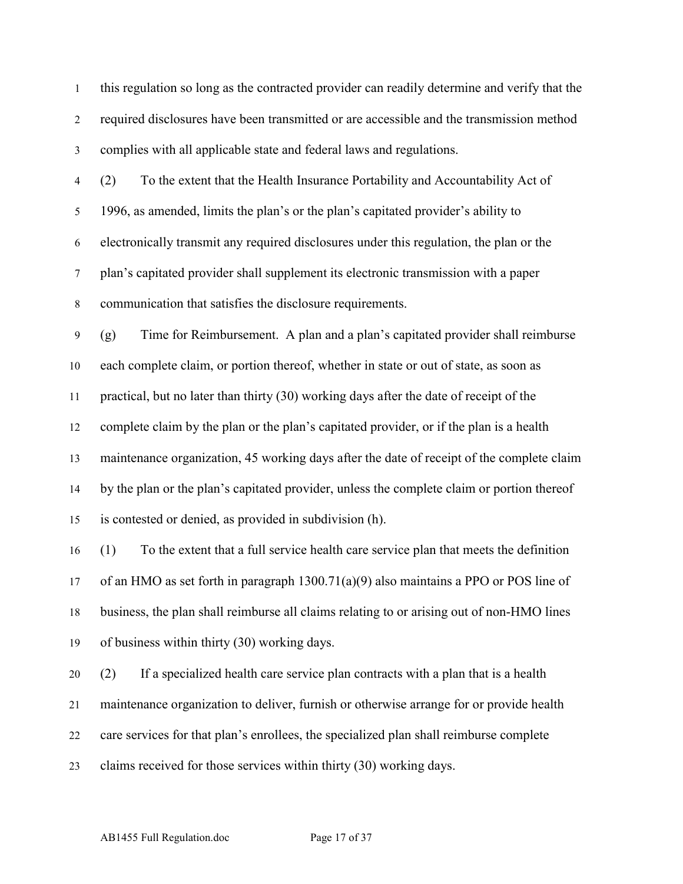this regulation so long as the contracted provider can readily determine and verify that the required disclosures have been transmitted or are accessible and the transmission method complies with all applicable state and federal laws and regulations. (2) To the extent that the Health Insurance Portability and Accountability Act of 1996, as amended, limits the plan's or the plan's capitated provider's ability to electronically transmit any required disclosures under this regulation, the plan or the plan's capitated provider shall supplement its electronic transmission with a paper communication that satisfies the disclosure requirements. (g) Time for Reimbursement. A plan and a plan's capitated provider shall reimburse each complete claim, or portion thereof, whether in state or out of state, as soon as practical, but no later than thirty (30) working days after the date of receipt of the complete claim by the plan or the plan's capitated provider, or if the plan is a health maintenance organization, 45 working days after the date of receipt of the complete claim by the plan or the plan's capitated provider, unless the complete claim or portion thereof is contested or denied, as provided in subdivision (h). (1) To the extent that a full service health care service plan that meets the definition of an HMO as set forth in paragraph 1300.71(a)(9) also maintains a PPO or POS line of business, the plan shall reimburse all claims relating to or arising out of non-HMO lines of business within thirty (30) working days. (2) If a specialized health care service plan contracts with a plan that is a health maintenance organization to deliver, furnish or otherwise arrange for or provide health care services for that plan's enrollees, the specialized plan shall reimburse complete claims received for those services within thirty (30) working days.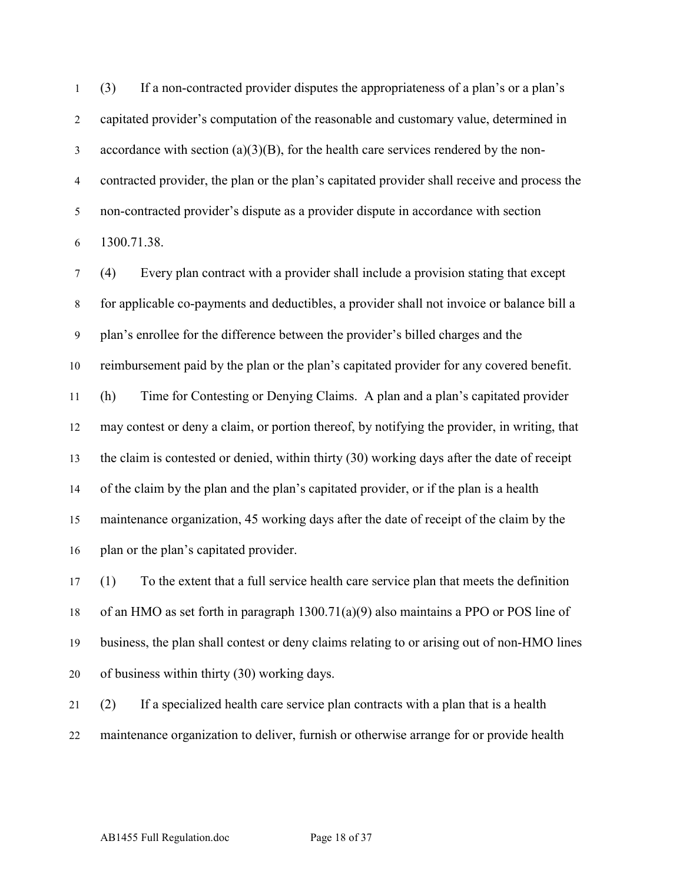(3) If a non-contracted provider disputes the appropriateness of a plan's or a plan's capitated provider's computation of the reasonable and customary value, determined in  $\alpha$  accordance with section (a)(3)(B), for the health care services rendered by the non- contracted provider, the plan or the plan's capitated provider shall receive and process the non-contracted provider's dispute as a provider dispute in accordance with section 1300.71.38.

 (4) Every plan contract with a provider shall include a provision stating that except for applicable co-payments and deductibles, a provider shall not invoice or balance bill a plan's enrollee for the difference between the provider's billed charges and the reimbursement paid by the plan or the plan's capitated provider for any covered benefit. (h) Time for Contesting or Denying Claims. A plan and a plan's capitated provider may contest or deny a claim, or portion thereof, by notifying the provider, in writing, that the claim is contested or denied, within thirty (30) working days after the date of receipt of the claim by the plan and the plan's capitated provider, or if the plan is a health maintenance organization, 45 working days after the date of receipt of the claim by the 16 plan or the plan's capitated provider.

 (1) To the extent that a full service health care service plan that meets the definition of an HMO as set forth in paragraph 1300.71(a)(9) also maintains a PPO or POS line of business, the plan shall contest or deny claims relating to or arising out of non-HMO lines of business within thirty (30) working days.

 (2) If a specialized health care service plan contracts with a plan that is a health maintenance organization to deliver, furnish or otherwise arrange for or provide health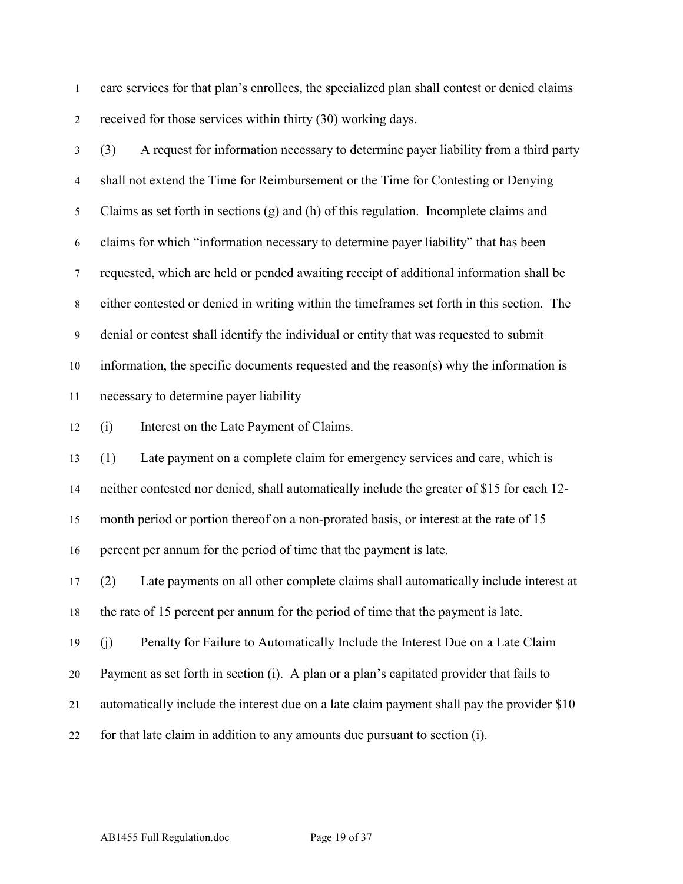care services for that plan's enrollees, the specialized plan shall contest or denied claims received for those services within thirty (30) working days.

 (3) A request for information necessary to determine payer liability from a third party shall not extend the Time for Reimbursement or the Time for Contesting or Denying Claims as set forth in sections (g) and (h) of this regulation. Incomplete claims and claims for which "information necessary to determine payer liability" that has been requested, which are held or pended awaiting receipt of additional information shall be either contested or denied in writing within the timeframes set forth in this section. The denial or contest shall identify the individual or entity that was requested to submit information, the specific documents requested and the reason(s) why the information is necessary to determine payer liability (i) Interest on the Late Payment of Claims. (1) Late payment on a complete claim for emergency services and care, which is neither contested nor denied, shall automatically include the greater of \$15 for each 12- month period or portion thereof on a non-prorated basis, or interest at the rate of 15 percent per annum for the period of time that the payment is late. (2) Late payments on all other complete claims shall automatically include interest at the rate of 15 percent per annum for the period of time that the payment is late. (j) Penalty for Failure to Automatically Include the Interest Due on a Late Claim Payment as set forth in section (i). A plan or a plan's capitated provider that fails to automatically include the interest due on a late claim payment shall pay the provider \$10 for that late claim in addition to any amounts due pursuant to section (i).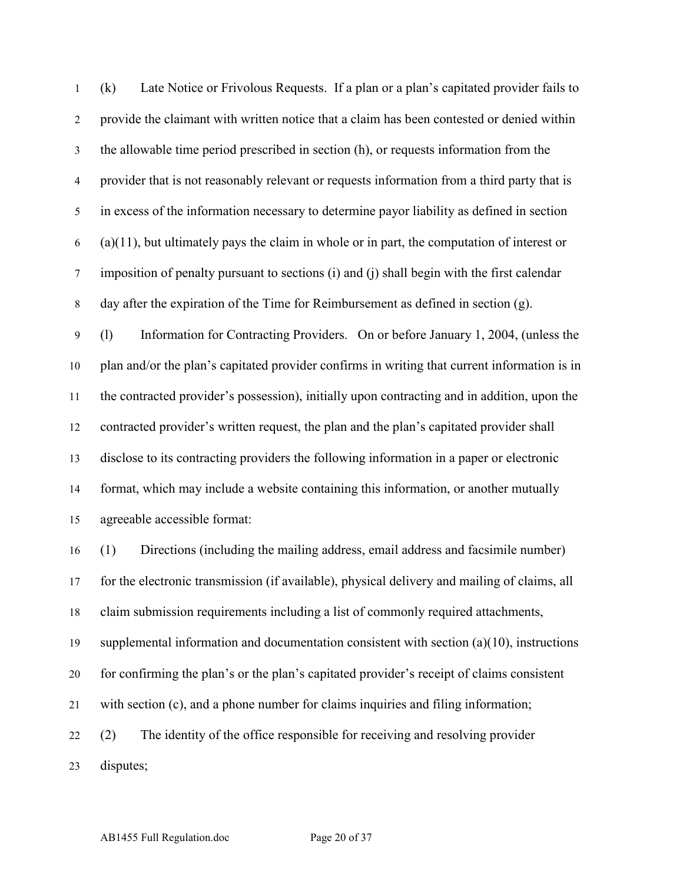(k) Late Notice or Frivolous Requests. If a plan or a plan's capitated provider fails to provide the claimant with written notice that a claim has been contested or denied within the allowable time period prescribed in section (h), or requests information from the provider that is not reasonably relevant or requests information from a third party that is in excess of the information necessary to determine payor liability as defined in section  $(6)$  (a)(11), but ultimately pays the claim in whole or in part, the computation of interest or imposition of penalty pursuant to sections (i) and (j) shall begin with the first calendar day after the expiration of the Time for Reimbursement as defined in section (g). (l) Information for Contracting Providers. On or before January 1, 2004, (unless the plan and/or the plan's capitated provider confirms in writing that current information is in the contracted provider's possession), initially upon contracting and in addition, upon the contracted provider's written request, the plan and the plan's capitated provider shall disclose to its contracting providers the following information in a paper or electronic format, which may include a website containing this information, or another mutually agreeable accessible format: (1) Directions (including the mailing address, email address and facsimile number) for the electronic transmission (if available), physical delivery and mailing of claims, all claim submission requirements including a list of commonly required attachments, supplemental information and documentation consistent with section (a)(10), instructions for confirming the plan's or the plan's capitated provider's receipt of claims consistent with section (c), and a phone number for claims inquiries and filing information; (2) The identity of the office responsible for receiving and resolving provider disputes;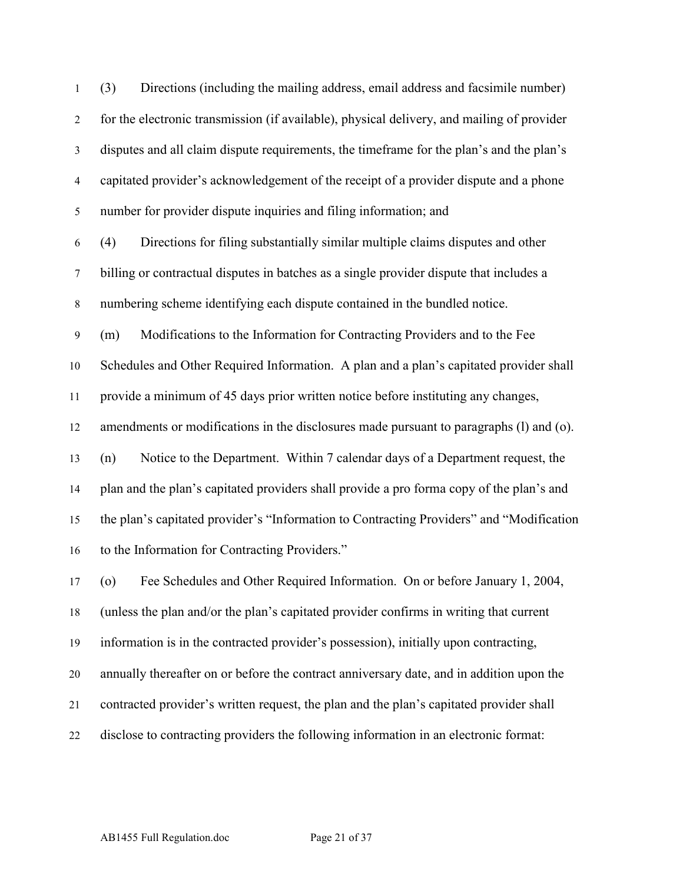(3) Directions (including the mailing address, email address and facsimile number) for the electronic transmission (if available), physical delivery, and mailing of provider disputes and all claim dispute requirements, the timeframe for the plan's and the plan's capitated provider's acknowledgement of the receipt of a provider dispute and a phone number for provider dispute inquiries and filing information; and

 (4) Directions for filing substantially similar multiple claims disputes and other billing or contractual disputes in batches as a single provider dispute that includes a numbering scheme identifying each dispute contained in the bundled notice.

 (m) Modifications to the Information for Contracting Providers and to the Fee Schedules and Other Required Information. A plan and a plan's capitated provider shall provide a minimum of 45 days prior written notice before instituting any changes, amendments or modifications in the disclosures made pursuant to paragraphs (l) and (o). (n) Notice to the Department. Within 7 calendar days of a Department request, the plan and the plan's capitated providers shall provide a pro forma copy of the plan's and the plan's capitated provider's "Information to Contracting Providers" and "Modification to the Information for Contracting Providers."

 (o) Fee Schedules and Other Required Information. On or before January 1, 2004, (unless the plan and/or the plan's capitated provider confirms in writing that current information is in the contracted provider's possession), initially upon contracting, annually thereafter on or before the contract anniversary date, and in addition upon the contracted provider's written request, the plan and the plan's capitated provider shall disclose to contracting providers the following information in an electronic format: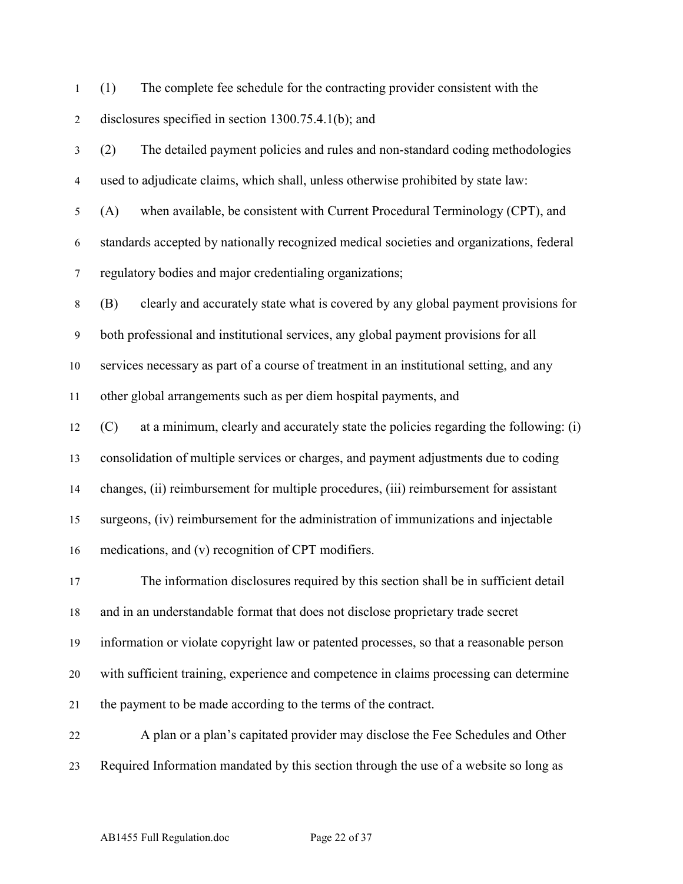(1) The complete fee schedule for the contracting provider consistent with the disclosures specified in section 1300.75.4.1(b); and

 (2) The detailed payment policies and rules and non-standard coding methodologies used to adjudicate claims, which shall, unless otherwise prohibited by state law: (A) when available, be consistent with Current Procedural Terminology (CPT), and standards accepted by nationally recognized medical societies and organizations, federal regulatory bodies and major credentialing organizations; (B) clearly and accurately state what is covered by any global payment provisions for both professional and institutional services, any global payment provisions for all services necessary as part of a course of treatment in an institutional setting, and any other global arrangements such as per diem hospital payments, and (C) at a minimum, clearly and accurately state the policies regarding the following: (i) consolidation of multiple services or charges, and payment adjustments due to coding changes, (ii) reimbursement for multiple procedures, (iii) reimbursement for assistant surgeons, (iv) reimbursement for the administration of immunizations and injectable medications, and (v) recognition of CPT modifiers. The information disclosures required by this section shall be in sufficient detail and in an understandable format that does not disclose proprietary trade secret information or violate copyright law or patented processes, so that a reasonable person with sufficient training, experience and competence in claims processing can determine the payment to be made according to the terms of the contract. A plan or a plan's capitated provider may disclose the Fee Schedules and Other Required Information mandated by this section through the use of a website so long as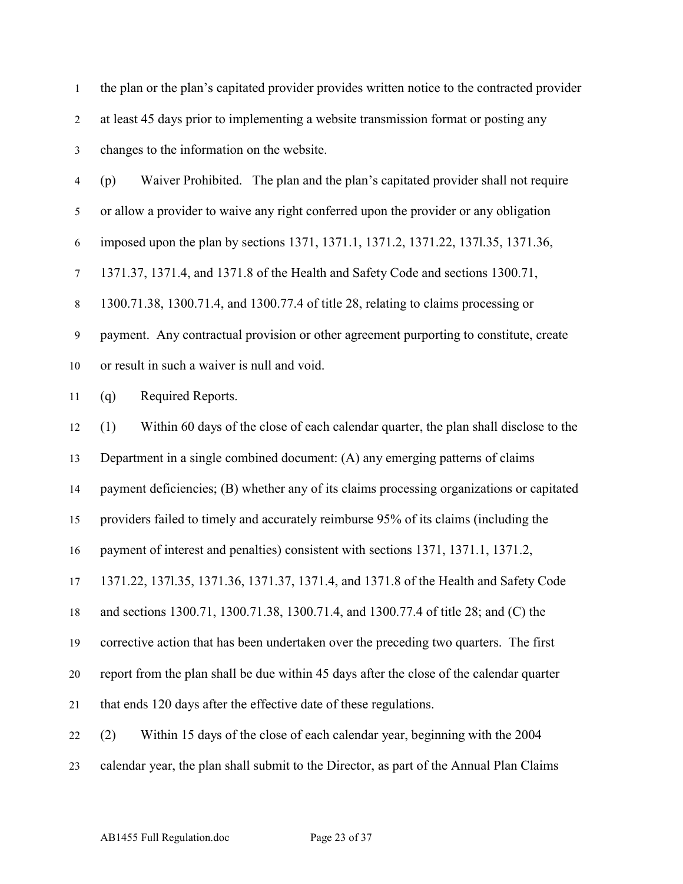the plan or the plan's capitated provider provides written notice to the contracted provider at least 45 days prior to implementing a website transmission format or posting any changes to the information on the website. (p) Waiver Prohibited.The plan and the plan's capitated provider shall not require or allow a provider to waive any right conferred upon the provider or any obligation imposed upon the plan by sections 1371, 1371.1, 1371.2, 1371.22, 137l.35, 1371.36, 1371.37, 1371.4, and 1371.8 of the Health and Safety Code and sections 1300.71, 1300.71.38, 1300.71.4, and 1300.77.4 of title 28, relating to claims processing or payment. Any contractual provision or other agreement purporting to constitute, create or result in such a waiver is null and void. (q) Required Reports. (1) Within 60 days of the close of each calendar quarter, the plan shall disclose to the Department in a single combined document: (A) any emerging patterns of claims payment deficiencies; (B) whether any of its claims processing organizations or capitated providers failed to timely and accurately reimburse 95% of its claims (including the payment of interest and penalties) consistent with sections 1371, 1371.1, 1371.2, 1371.22, 137l.35, 1371.36, 1371.37, 1371.4, and 1371.8 of the Health and Safety Code and sections 1300.71, 1300.71.38, 1300.71.4, and 1300.77.4 of title 28; and (C) the corrective action that has been undertaken over the preceding two quarters. The first report from the plan shall be due within 45 days after the close of the calendar quarter that ends 120 days after the effective date of these regulations. (2) Within 15 days of the close of each calendar year, beginning with the 2004 calendar year, the plan shall submit to the Director, as part of the Annual Plan Claims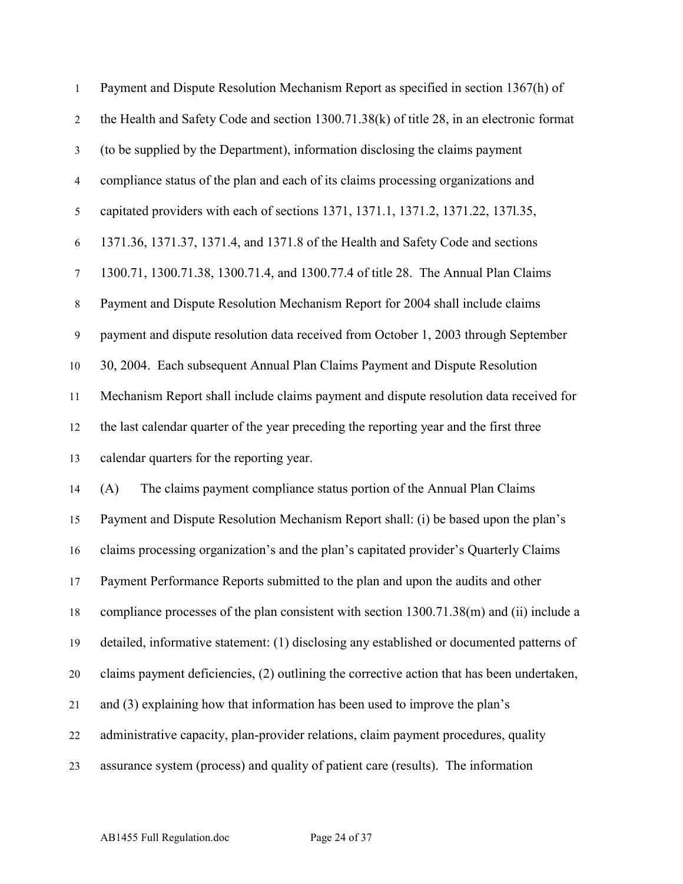| $\mathbf{1}$     | Payment and Dispute Resolution Mechanism Report as specified in section 1367(h) of         |
|------------------|--------------------------------------------------------------------------------------------|
| $\overline{2}$   | the Health and Safety Code and section 1300.71.38(k) of title 28, in an electronic format  |
| $\mathfrak{Z}$   | (to be supplied by the Department), information disclosing the claims payment              |
| $\overline{4}$   | compliance status of the plan and each of its claims processing organizations and          |
| $\sqrt{5}$       | capitated providers with each of sections 1371, 1371.1, 1371.2, 1371.22, 1371.35,          |
| 6                | 1371.36, 1371.37, 1371.4, and 1371.8 of the Health and Safety Code and sections            |
| $\boldsymbol{7}$ | 1300.71, 1300.71.38, 1300.71.4, and 1300.77.4 of title 28. The Annual Plan Claims          |
| $\,8\,$          | Payment and Dispute Resolution Mechanism Report for 2004 shall include claims              |
| $\mathbf{9}$     | payment and dispute resolution data received from October 1, 2003 through September        |
| 10               | 30, 2004. Each subsequent Annual Plan Claims Payment and Dispute Resolution                |
| 11               | Mechanism Report shall include claims payment and dispute resolution data received for     |
| 12               | the last calendar quarter of the year preceding the reporting year and the first three     |
| 13               | calendar quarters for the reporting year.                                                  |
| 14               | The claims payment compliance status portion of the Annual Plan Claims<br>(A)              |
| 15               | Payment and Dispute Resolution Mechanism Report shall: (i) be based upon the plan's        |
| 16               | claims processing organization's and the plan's capitated provider's Quarterly Claims      |
| 17               | Payment Performance Reports submitted to the plan and upon the audits and other            |
| 18               | compliance processes of the plan consistent with section 1300.71.38(m) and (ii) include a  |
| 19               | detailed, informative statement: (1) disclosing any established or documented patterns of  |
| 20               | claims payment deficiencies, (2) outlining the corrective action that has been undertaken, |
| 21               | and (3) explaining how that information has been used to improve the plan's                |
| 22               | administrative capacity, plan-provider relations, claim payment procedures, quality        |
| 23               | assurance system (process) and quality of patient care (results). The information          |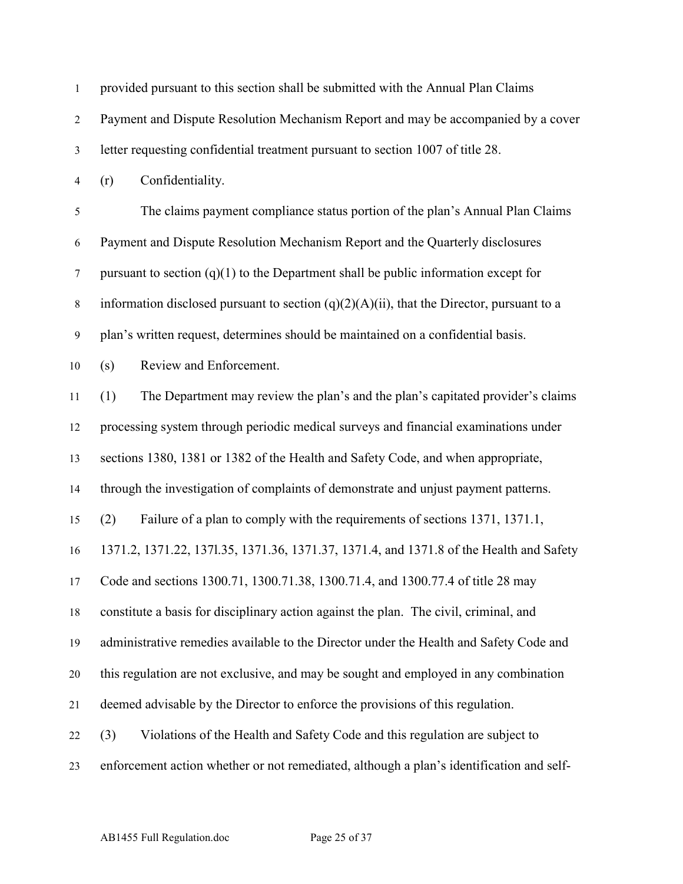| $\mathbf{1}$     | provided pursuant to this section shall be submitted with the Annual Plan Claims             |
|------------------|----------------------------------------------------------------------------------------------|
| $\overline{2}$   | Payment and Dispute Resolution Mechanism Report and may be accompanied by a cover            |
| $\mathfrak{Z}$   | letter requesting confidential treatment pursuant to section 1007 of title 28.               |
| $\overline{4}$   | Confidentiality.<br>(r)                                                                      |
| 5                | The claims payment compliance status portion of the plan's Annual Plan Claims                |
| 6                | Payment and Dispute Resolution Mechanism Report and the Quarterly disclosures                |
| $\tau$           | pursuant to section $(q)(1)$ to the Department shall be public information except for        |
| $\,8\,$          | information disclosed pursuant to section $(q)(2)(A)(ii)$ , that the Director, pursuant to a |
| $\boldsymbol{9}$ | plan's written request, determines should be maintained on a confidential basis.             |
| 10               | Review and Enforcement.<br>(s)                                                               |
| 11               | The Department may review the plan's and the plan's capitated provider's claims<br>(1)       |
| 12               | processing system through periodic medical surveys and financial examinations under          |
| 13               | sections 1380, 1381 or 1382 of the Health and Safety Code, and when appropriate,             |
| 14               | through the investigation of complaints of demonstrate and unjust payment patterns.          |
| 15               | Failure of a plan to comply with the requirements of sections 1371, 1371.1,<br>(2)           |
| 16               | 1371.2, 1371.22, 1371.35, 1371.36, 1371.37, 1371.4, and 1371.8 of the Health and Safety      |
| 17               | Code and sections 1300.71, 1300.71.38, 1300.71.4, and 1300.77.4 of title 28 may              |
| 18               | constitute a basis for disciplinary action against the plan. The civil, criminal, and        |
| 19               | administrative remedies available to the Director under the Health and Safety Code and       |
| 20               | this regulation are not exclusive, and may be sought and employed in any combination         |
| 21               | deemed advisable by the Director to enforce the provisions of this regulation.               |
| 22               | Violations of the Health and Safety Code and this regulation are subject to<br>(3)           |
| 23               | enforcement action whether or not remediated, although a plan's identification and self-     |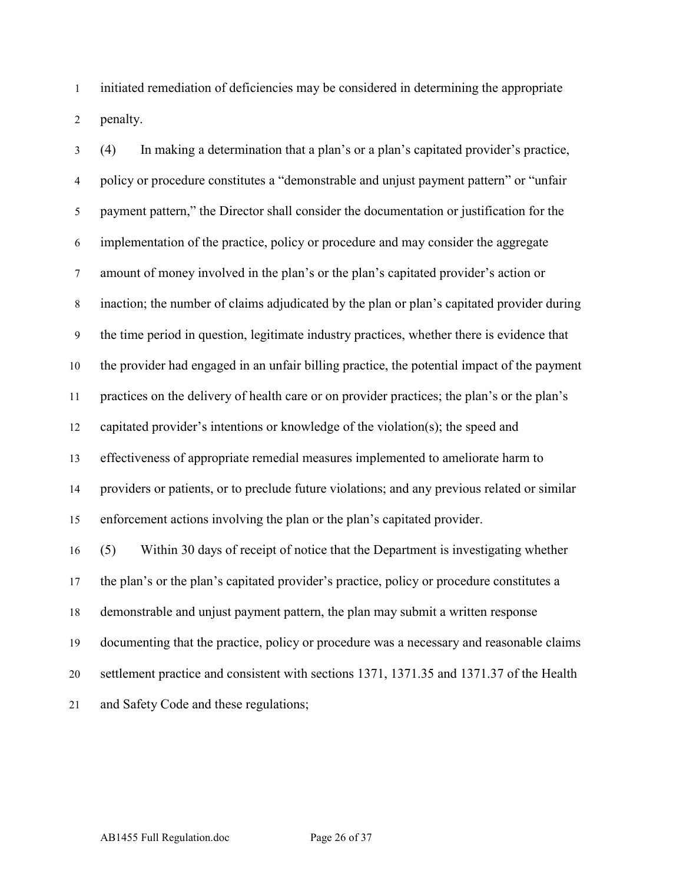initiated remediation of deficiencies may be considered in determining the appropriate penalty.

 (4) In making a determination that a plan's or a plan's capitated provider's practice, policy or procedure constitutes a "demonstrable and unjust payment pattern" or "unfair payment pattern," the Director shall consider the documentation or justification for the implementation of the practice, policy or procedure and may consider the aggregate amount of money involved in the plan's or the plan's capitated provider's action or inaction; the number of claims adjudicated by the plan or plan's capitated provider during the time period in question, legitimate industry practices, whether there is evidence that the provider had engaged in an unfair billing practice, the potential impact of the payment practices on the delivery of health care or on provider practices; the plan's or the plan's capitated provider's intentions or knowledge of the violation(s); the speed and effectiveness of appropriate remedial measures implemented to ameliorate harm to providers or patients, or to preclude future violations; and any previous related or similar enforcement actions involving the plan or the plan's capitated provider. (5) Within 30 days of receipt of notice that the Department is investigating whether the plan's or the plan's capitated provider's practice, policy or procedure constitutes a demonstrable and unjust payment pattern, the plan may submit a written response documenting that the practice, policy or procedure was a necessary and reasonable claims settlement practice and consistent with sections 1371, 1371.35 and 1371.37 of the Health and Safety Code and these regulations;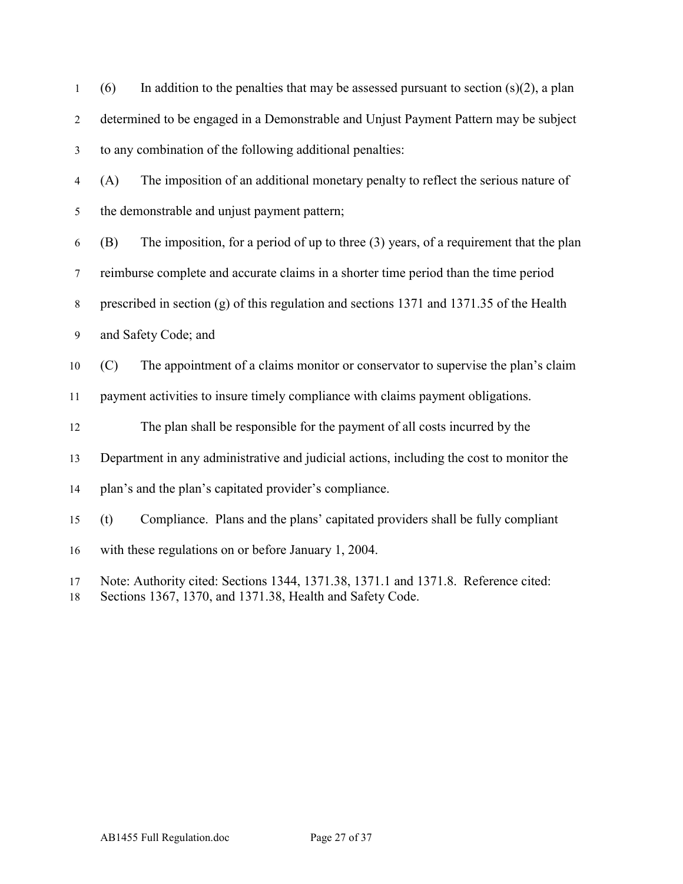| $\mathbf{1}$   | In addition to the penalties that may be assessed pursuant to section $(s)(2)$ , a plan<br>(6)                                                  |
|----------------|-------------------------------------------------------------------------------------------------------------------------------------------------|
| $\overline{2}$ | determined to be engaged in a Demonstrable and Unjust Payment Pattern may be subject                                                            |
| $\mathfrak{Z}$ | to any combination of the following additional penalties:                                                                                       |
| $\overline{4}$ | (A)<br>The imposition of an additional monetary penalty to reflect the serious nature of                                                        |
| 5              | the demonstrable and unjust payment pattern;                                                                                                    |
| 6              | The imposition, for a period of up to three $(3)$ years, of a requirement that the plan<br>(B)                                                  |
| $\tau$         | reimburse complete and accurate claims in a shorter time period than the time period                                                            |
| $\,8\,$        | prescribed in section $(g)$ of this regulation and sections 1371 and 1371.35 of the Health                                                      |
| $\mathbf{9}$   | and Safety Code; and                                                                                                                            |
| 10             | The appointment of a claims monitor or conservator to supervise the plan's claim<br>(C)                                                         |
| 11             | payment activities to insure timely compliance with claims payment obligations.                                                                 |
| 12             | The plan shall be responsible for the payment of all costs incurred by the                                                                      |
| 13             | Department in any administrative and judicial actions, including the cost to monitor the                                                        |
| 14             | plan's and the plan's capitated provider's compliance.                                                                                          |
| 15             | Compliance. Plans and the plans' capitated providers shall be fully compliant<br>(t)                                                            |
| 16             | with these regulations on or before January 1, 2004.                                                                                            |
| 17<br>18       | Note: Authority cited: Sections 1344, 1371.38, 1371.1 and 1371.8. Reference cited:<br>Sections 1367, 1370, and 1371.38, Health and Safety Code. |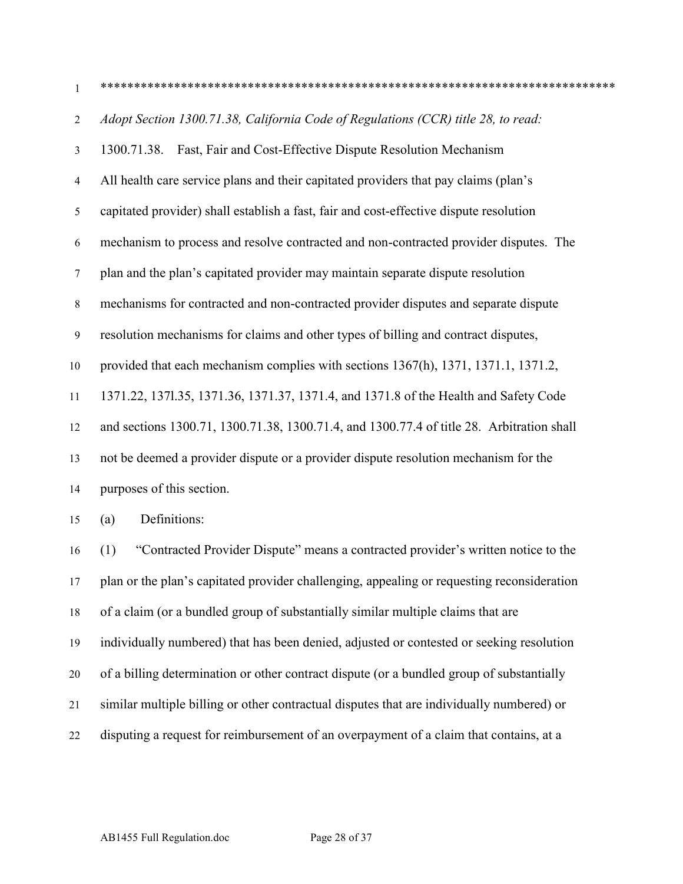\*\*\*\*\*\*\*\*\*\*\*\*\*\*\*\*\*\*\*\*\*\*\*\*\*\*\*\*\*\*\*\*\*\*\*\*\*\*\*\*\*\*\*\*\*\*\*\*\*\*\*\*\*\*\*\*\*\*\*\*\*\*\*\*\*\*\*\*\*\*\*\*\*\*\*\*\*

| 2              | Adopt Section 1300.71.38, California Code of Regulations (CCR) title 28, to read:         |
|----------------|-------------------------------------------------------------------------------------------|
| $\mathfrak{Z}$ | Fast, Fair and Cost-Effective Dispute Resolution Mechanism<br>1300.71.38.                 |
| 4              | All health care service plans and their capitated providers that pay claims (plan's       |
| 5              | capitated provider) shall establish a fast, fair and cost-effective dispute resolution    |
| 6              | mechanism to process and resolve contracted and non-contracted provider disputes. The     |
| $\tau$         | plan and the plan's capitated provider may maintain separate dispute resolution           |
| $8\,$          | mechanisms for contracted and non-contracted provider disputes and separate dispute       |
| 9              | resolution mechanisms for claims and other types of billing and contract disputes,        |
| 10             | provided that each mechanism complies with sections 1367(h), 1371, 1371.1, 1371.2,        |
| 11             | 1371.22, 1371.35, 1371.36, 1371.37, 1371.4, and 1371.8 of the Health and Safety Code      |
| 12             | and sections 1300.71, 1300.71.38, 1300.71.4, and 1300.77.4 of title 28. Arbitration shall |
| 13             | not be deemed a provider dispute or a provider dispute resolution mechanism for the       |
| 14             | purposes of this section.                                                                 |
| 15             | Definitions:<br>(a)                                                                       |
| 16             | "Contracted Provider Dispute" means a contracted provider's written notice to the<br>(1)  |

 plan or the plan's capitated provider challenging, appealing or requesting reconsideration of a claim (or a bundled group of substantially similar multiple claims that are individually numbered) that has been denied, adjusted or contested or seeking resolution of a billing determination or other contract dispute (or a bundled group of substantially similar multiple billing or other contractual disputes that are individually numbered) or disputing a request for reimbursement of an overpayment of a claim that contains, at a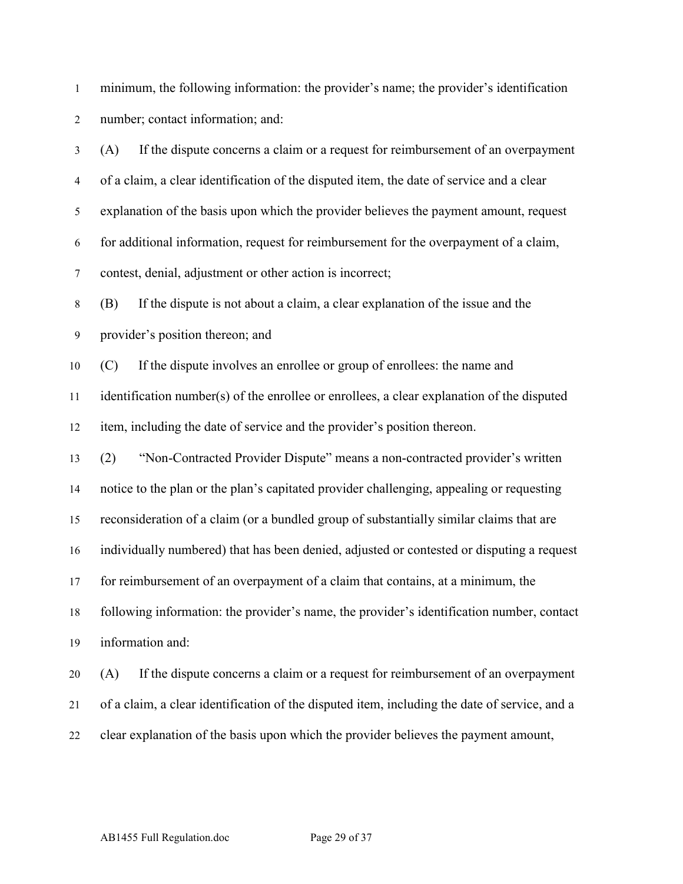minimum, the following information: the provider's name; the provider's identification number; contact information; and:

 (A) If the dispute concerns a claim or a request for reimbursement of an overpayment of a claim, a clear identification of the disputed item, the date of service and a clear explanation of the basis upon which the provider believes the payment amount, request for additional information, request for reimbursement for the overpayment of a claim, contest, denial, adjustment or other action is incorrect; (B) If the dispute is not about a claim, a clear explanation of the issue and the provider's position thereon; and (C) If the dispute involves an enrollee or group of enrollees: the name and identification number(s) of the enrollee or enrollees, a clear explanation of the disputed item, including the date of service and the provider's position thereon. (2) "Non-Contracted Provider Dispute" means a non-contracted provider's written notice to the plan or the plan's capitated provider challenging, appealing or requesting reconsideration of a claim (or a bundled group of substantially similar claims that are individually numbered) that has been denied, adjusted or contested or disputing a request for reimbursement of an overpayment of a claim that contains, at a minimum, the following information: the provider's name, the provider's identification number, contact information and: (A) If the dispute concerns a claim or a request for reimbursement of an overpayment of a claim, a clear identification of the disputed item, including the date of service, and a

clear explanation of the basis upon which the provider believes the payment amount,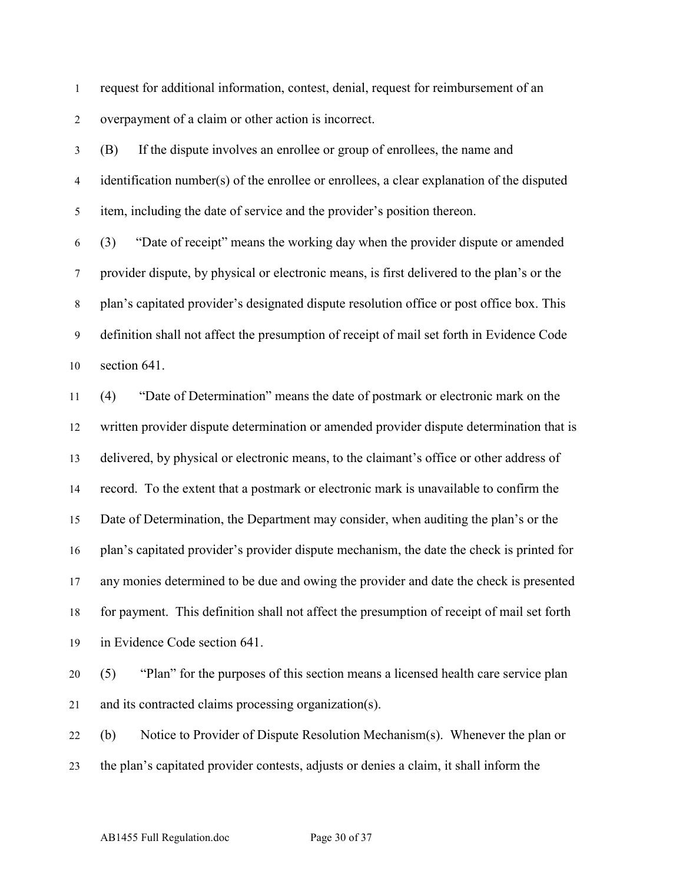request for additional information, contest, denial, request for reimbursement of an overpayment of a claim or other action is incorrect.

 (B) If the dispute involves an enrollee or group of enrollees, the name and identification number(s) of the enrollee or enrollees, a clear explanation of the disputed item, including the date of service and the provider's position thereon.

 (3) "Date of receipt" means the working day when the provider dispute or amended provider dispute, by physical or electronic means, is first delivered to the plan's or the plan's capitated provider's designated dispute resolution office or post office box. This definition shall not affect the presumption of receipt of mail set forth in Evidence Code section 641.

 (4) "Date of Determination" means the date of postmark or electronic mark on the written provider dispute determination or amended provider dispute determination that is delivered, by physical or electronic means, to the claimant's office or other address of record. To the extent that a postmark or electronic mark is unavailable to confirm the Date of Determination, the Department may consider, when auditing the plan's or the plan's capitated provider's provider dispute mechanism, the date the check is printed for any monies determined to be due and owing the provider and date the check is presented for payment. This definition shall not affect the presumption of receipt of mail set forth in Evidence Code section 641.

 (5) "Plan" for the purposes of this section means a licensed health care service plan and its contracted claims processing organization(s).

 (b) Notice to Provider of Dispute Resolution Mechanism(s). Whenever the plan or the plan's capitated provider contests, adjusts or denies a claim, it shall inform the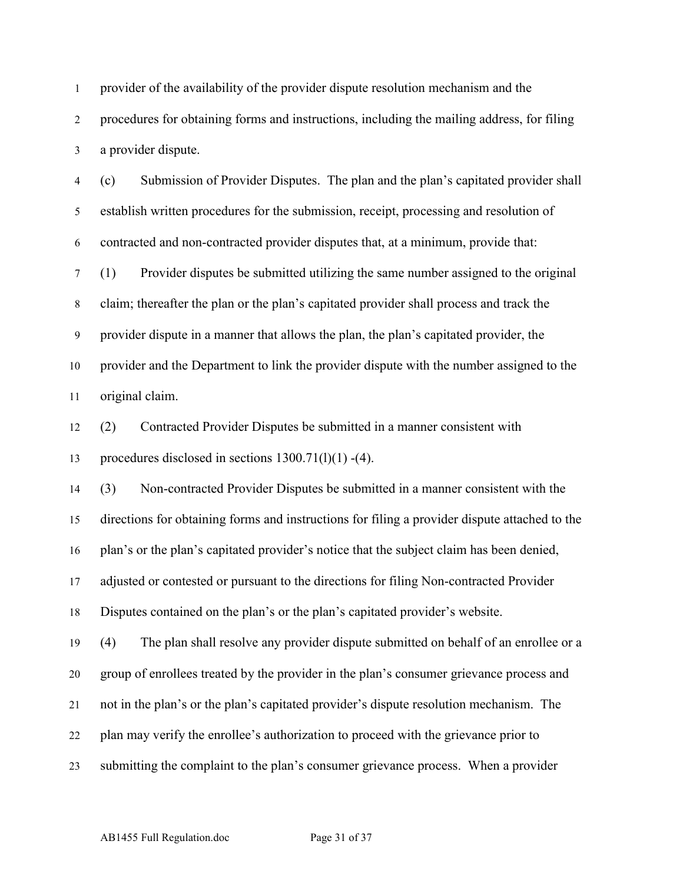provider of the availability of the provider dispute resolution mechanism and the procedures for obtaining forms and instructions, including the mailing address, for filing a provider dispute.

 (c) Submission of Provider Disputes. The plan and the plan's capitated provider shall establish written procedures for the submission, receipt, processing and resolution of contracted and non-contracted provider disputes that, at a minimum, provide that:

 (1) Provider disputes be submitted utilizing the same number assigned to the original claim; thereafter the plan or the plan's capitated provider shall process and track the provider dispute in a manner that allows the plan, the plan's capitated provider, the provider and the Department to link the provider dispute with the number assigned to the original claim.

 (2) Contracted Provider Disputes be submitted in a manner consistent with 13 procedures disclosed in sections  $1300.71(1)(1) - (4)$ .

 (3) Non-contracted Provider Disputes be submitted in a manner consistent with the directions for obtaining forms and instructions for filing a provider dispute attached to the plan's or the plan's capitated provider's notice that the subject claim has been denied, adjusted or contested or pursuant to the directions for filing Non-contracted Provider Disputes contained on the plan's or the plan's capitated provider's website.

 (4) The plan shall resolve any provider dispute submitted on behalf of an enrollee or a group of enrollees treated by the provider in the plan's consumer grievance process and not in the plan's or the plan's capitated provider's dispute resolution mechanism. The plan may verify the enrollee's authorization to proceed with the grievance prior to submitting the complaint to the plan's consumer grievance process. When a provider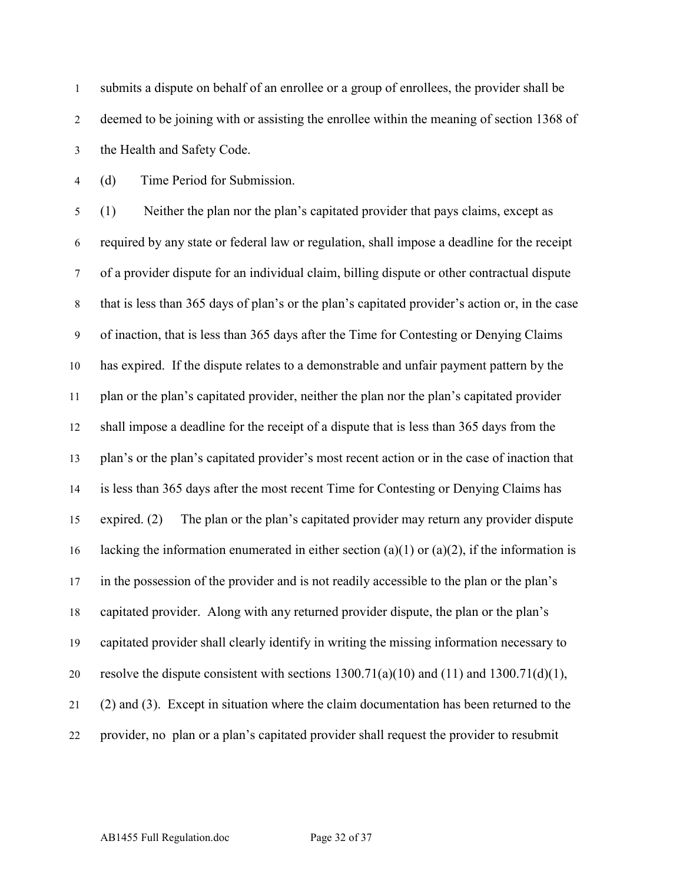submits a dispute on behalf of an enrollee or a group of enrollees, the provider shall be deemed to be joining with or assisting the enrollee within the meaning of section 1368 of the Health and Safety Code.

(d) Time Period for Submission.

 (1) Neither the plan nor the plan's capitated provider that pays claims, except as required by any state or federal law or regulation, shall impose a deadline for the receipt of a provider dispute for an individual claim, billing dispute or other contractual dispute that is less than 365 days of plan's or the plan's capitated provider's action or, in the case of inaction, that is less than 365 days after the Time for Contesting or Denying Claims has expired. If the dispute relates to a demonstrable and unfair payment pattern by the plan or the plan's capitated provider, neither the plan nor the plan's capitated provider shall impose a deadline for the receipt of a dispute that is less than 365 days from the plan's or the plan's capitated provider's most recent action or in the case of inaction that is less than 365 days after the most recent Time for Contesting or Denying Claims has expired. (2) The plan or the plan's capitated provider may return any provider dispute 16 lacking the information enumerated in either section (a)(1) or (a)(2), if the information is in the possession of the provider and is not readily accessible to the plan or the plan's capitated provider. Along with any returned provider dispute, the plan or the plan's capitated provider shall clearly identify in writing the missing information necessary to 20 resolve the dispute consistent with sections  $1300.71(a)(10)$  and  $(11)$  and  $1300.71(d)(1)$ , (2) and (3). Except in situation where the claim documentation has been returned to the provider, no plan or a plan's capitated provider shall request the provider to resubmit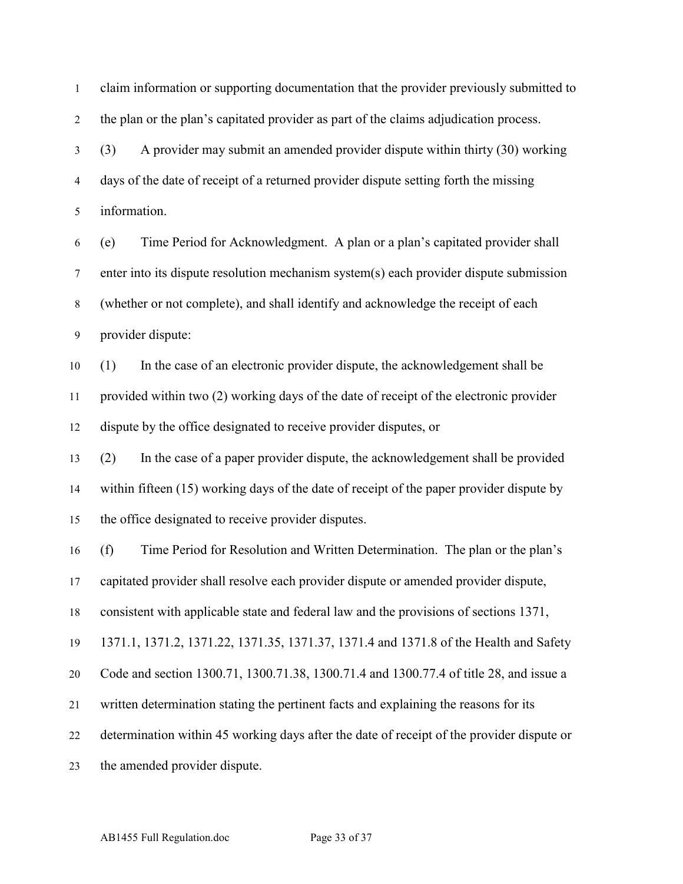claim information or supporting documentation that the provider previously submitted to the plan or the plan's capitated provider as part of the claims adjudication process.

 (3) A provider may submit an amended provider dispute within thirty (30) working days of the date of receipt of a returned provider dispute setting forth the missing information.

 (e) Time Period for Acknowledgment. A plan or a plan's capitated provider shall enter into its dispute resolution mechanism system(s) each provider dispute submission (whether or not complete), and shall identify and acknowledge the receipt of each provider dispute:

 (1) In the case of an electronic provider dispute, the acknowledgement shall be provided within two (2) working days of the date of receipt of the electronic provider dispute by the office designated to receive provider disputes, or

 (2) In the case of a paper provider dispute, the acknowledgement shall be provided within fifteen (15) working days of the date of receipt of the paper provider dispute by the office designated to receive provider disputes.

 (f) Time Period for Resolution and Written Determination. The plan or the plan's capitated provider shall resolve each provider dispute or amended provider dispute,

consistent with applicable state and federal law and the provisions of sections 1371,

1371.1, 1371.2, 1371.22, 1371.35, 1371.37, 1371.4 and 1371.8 of the Health and Safety

Code and section 1300.71, 1300.71.38, 1300.71.4 and 1300.77.4 of title 28, and issue a

written determination stating the pertinent facts and explaining the reasons for its

determination within 45 working days after the date of receipt of the provider dispute or

the amended provider dispute.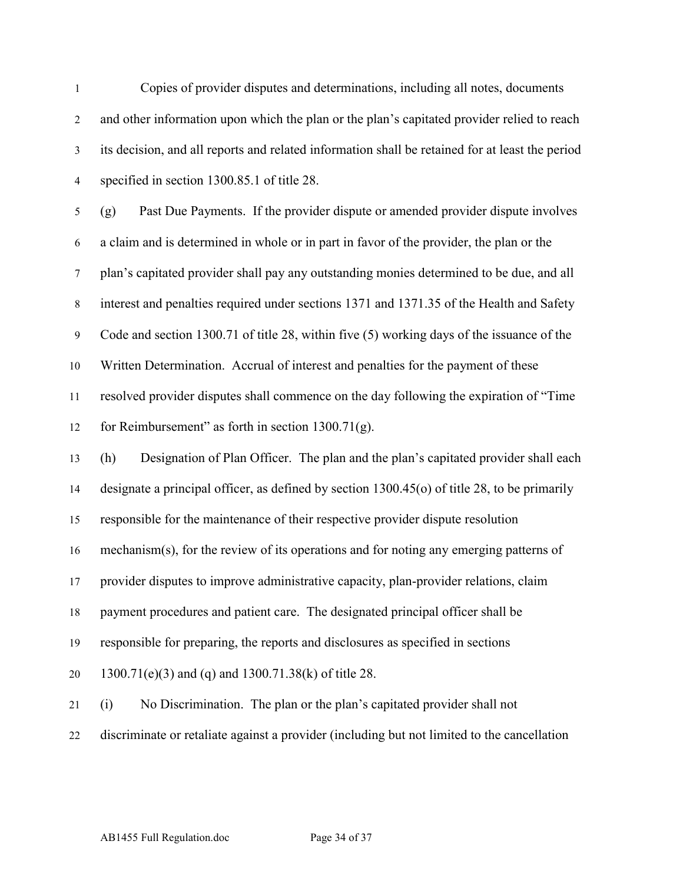| $\mathbf{1}$     | Copies of provider disputes and determinations, including all notes, documents                  |
|------------------|-------------------------------------------------------------------------------------------------|
| $\overline{2}$   | and other information upon which the plan or the plan's capitated provider relied to reach      |
| $\mathfrak{Z}$   | its decision, and all reports and related information shall be retained for at least the period |
| $\overline{4}$   | specified in section 1300.85.1 of title 28.                                                     |
| $\mathfrak s$    | Past Due Payments. If the provider dispute or amended provider dispute involves<br>(g)          |
| 6                | a claim and is determined in whole or in part in favor of the provider, the plan or the         |
| $\tau$           | plan's capitated provider shall pay any outstanding monies determined to be due, and all        |
| $\,8\,$          | interest and penalties required under sections 1371 and 1371.35 of the Health and Safety        |
| $\boldsymbol{9}$ | Code and section 1300.71 of title 28, within five (5) working days of the issuance of the       |
| 10               | Written Determination. Accrual of interest and penalties for the payment of these               |
| 11               | resolved provider disputes shall commence on the day following the expiration of "Time          |
| 12               | for Reimbursement" as forth in section $1300.71(g)$ .                                           |
| 13               | Designation of Plan Officer. The plan and the plan's capitated provider shall each<br>(h)       |
| 14               | designate a principal officer, as defined by section $1300.45$ (o) of title 28, to be primarily |
| 15               | responsible for the maintenance of their respective provider dispute resolution                 |
| 16               | mechanism(s), for the review of its operations and for noting any emerging patterns of          |
| 17               | provider disputes to improve administrative capacity, plan-provider relations, claim            |
| 18               | payment procedures and patient care. The designated principal officer shall be                  |
| 19               | responsible for preparing, the reports and disclosures as specified in sections                 |
| 20               | 1300.71(e)(3) and (q) and 1300.71.38(k) of title 28.                                            |
| 21               | No Discrimination. The plan or the plan's capitated provider shall not<br>(i)                   |
| 22               | discriminate or retaliate against a provider (including but not limited to the cancellation     |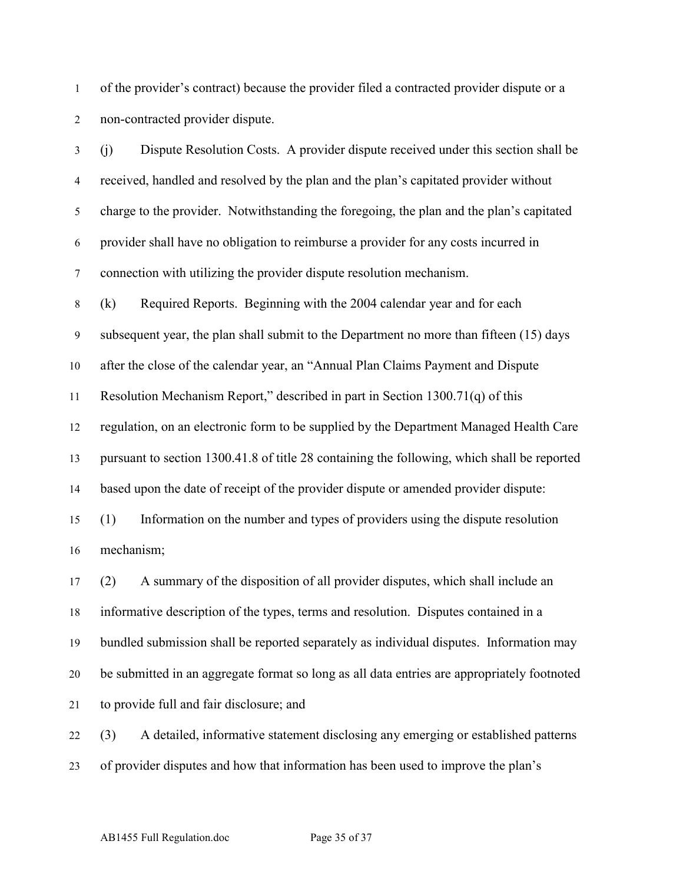of the provider's contract) because the provider filed a contracted provider dispute or a non-contracted provider dispute.

 (j) Dispute Resolution Costs. A provider dispute received under this section shall be received, handled and resolved by the plan and the plan's capitated provider without charge to the provider. Notwithstanding the foregoing, the plan and the plan's capitated provider shall have no obligation to reimburse a provider for any costs incurred in connection with utilizing the provider dispute resolution mechanism. (k) Required Reports. Beginning with the 2004 calendar year and for each subsequent year, the plan shall submit to the Department no more than fifteen (15) days after the close of the calendar year, an "Annual Plan Claims Payment and Dispute Resolution Mechanism Report," described in part in Section 1300.71(q) of this regulation, on an electronic form to be supplied by the Department Managed Health Care pursuant to section 1300.41.8 of title 28 containing the following, which shall be reported 14 based upon the date of receipt of the provider dispute or amended provider dispute: (1) Information on the number and types of providers using the dispute resolution mechanism; (2) A summary of the disposition of all provider disputes, which shall include an informative description of the types, terms and resolution. Disputes contained in a bundled submission shall be reported separately as individual disputes. Information may be submitted in an aggregate format so long as all data entries are appropriately footnoted to provide full and fair disclosure; and (3) A detailed, informative statement disclosing any emerging or established patterns

of provider disputes and how that information has been used to improve the plan's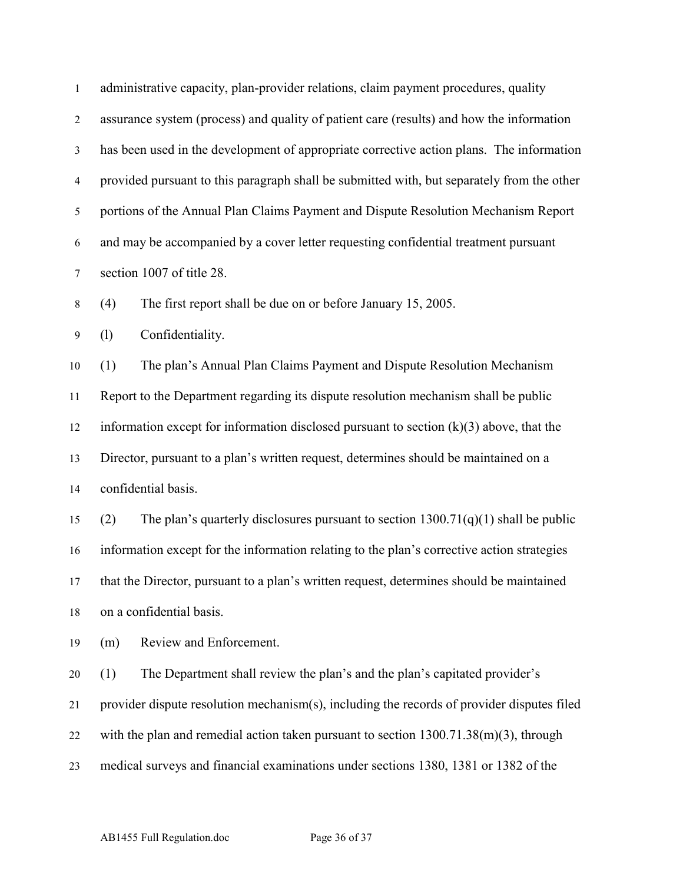| $\mathbf{1}$   | administrative capacity, plan-provider relations, claim payment procedures, quality         |
|----------------|---------------------------------------------------------------------------------------------|
| $\overline{2}$ | assurance system (process) and quality of patient care (results) and how the information    |
| $\mathfrak{Z}$ | has been used in the development of appropriate corrective action plans. The information    |
| $\overline{4}$ | provided pursuant to this paragraph shall be submitted with, but separately from the other  |
| 5              | portions of the Annual Plan Claims Payment and Dispute Resolution Mechanism Report          |
| 6              | and may be accompanied by a cover letter requesting confidential treatment pursuant         |
| $\tau$         | section 1007 of title 28.                                                                   |
| $8\,$          | (4)<br>The first report shall be due on or before January 15, 2005.                         |
| $\overline{9}$ | Confidentiality.<br>(1)                                                                     |
| 10             | The plan's Annual Plan Claims Payment and Dispute Resolution Mechanism<br>(1)               |
| 11             | Report to the Department regarding its dispute resolution mechanism shall be public         |
| 12             | information except for information disclosed pursuant to section $(k)(3)$ above, that the   |
| 13             | Director, pursuant to a plan's written request, determines should be maintained on a        |
| 14             | confidential basis.                                                                         |
| 15             | The plan's quarterly disclosures pursuant to section $1300.71(q)(1)$ shall be public<br>(2) |
| 16             | information except for the information relating to the plan's corrective action strategies  |
| 17             | that the Director, pursuant to a plan's written request, determines should be maintained    |
| 18             | on a confidential basis.                                                                    |
| 19             | Review and Enforcement.<br>(m)                                                              |
| 20             | The Department shall review the plan's and the plan's capitated provider's<br>(1)           |
| 21             | provider dispute resolution mechanism(s), including the records of provider disputes filed  |
| 22             | with the plan and remedial action taken pursuant to section $1300.71.38(m)(3)$ , through    |
| 23             | medical surveys and financial examinations under sections 1380, 1381 or 1382 of the         |